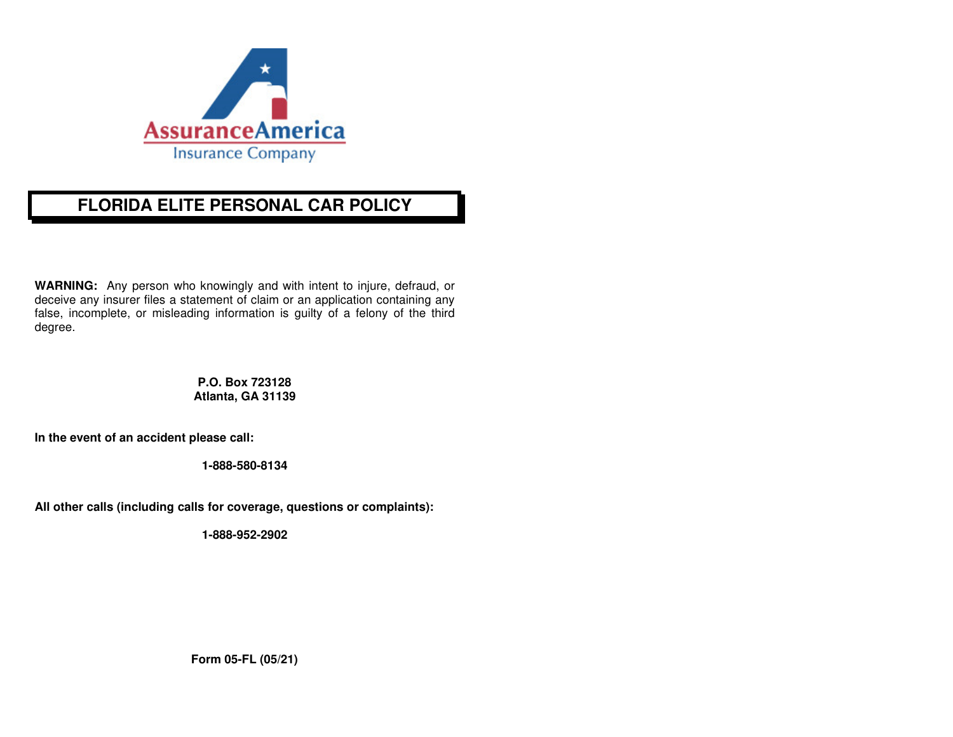

# **FLORIDA ELITE PERSONAL CAR POLICY**

**WARNING:** Any person who knowingly and with intent to injure, defraud, or deceive any insurer files a statement of claim or an application containing any false, incomplete, or misleading information is guilty of a felony of the third degree.

> **P.O. Box 723128 Atlanta, GA 31139**

**In the event of an accident please call:** 

**1-888-580-8134** 

**All other calls (including calls for coverage, questions or complaints):** 

**1-888-952-2902** 

**Form 05-FL (05/21)**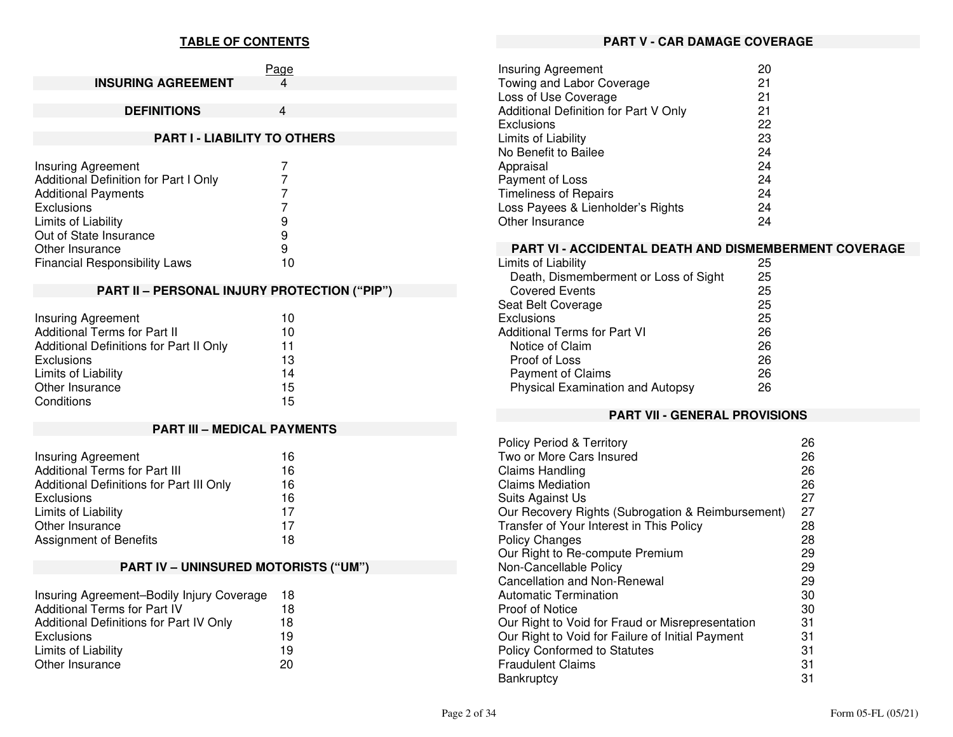# **TABLE OF CONTENTS**

|                                       | Page                                | <b>Insuring Agreement</b>    |
|---------------------------------------|-------------------------------------|------------------------------|
| <b>INSURING AGREEMENT</b>             | 4                                   | Towing and Labor Cove        |
|                                       |                                     | Loss of Use Coverage         |
| <b>DEFINITIONS</b>                    | 4                                   | Additional Definition for    |
|                                       |                                     | <b>Exclusions</b>            |
|                                       | <b>PART I - LIABILITY TO OTHERS</b> | Limits of Liability          |
|                                       |                                     | No Benefit to Bailee         |
| Insuring Agreement                    |                                     | Appraisal                    |
| Additional Definition for Part I Only |                                     | Payment of Loss              |
| <b>Additional Payments</b>            |                                     | <b>Timeliness of Repairs</b> |
| <b>Exclusions</b>                     |                                     | Loss Payees & Lienhold       |
| Limits of Liability                   | 9                                   | Other Insurance              |
| Out of State Insurance                | 9                                   |                              |
| Other Insurance                       | 9                                   | <b>PART VI - ACCIDENT</b>    |
| <b>Financial Responsibility Laws</b>  | 10                                  | Limits of Liability          |
|                                       |                                     | Death, Dismemberme           |

# **PART II – PERSONAL INJURY PROTECTION ("PIP")**

| <b>Insuring Agreement</b>               | 10 |
|-----------------------------------------|----|
| <b>Additional Terms for Part II</b>     | 10 |
| Additional Definitions for Part II Only | 11 |
| Exclusions                              | 13 |
| Limits of Liability                     | 14 |
| Other Insurance                         | 15 |
| Conditions                              | 15 |

# **PART III – MEDICAL PAYMENTS**

| <b>Insuring Agreement</b>                | 16 |
|------------------------------------------|----|
| <b>Additional Terms for Part III</b>     | 16 |
| Additional Definitions for Part III Only | 16 |
| Exclusions                               | 16 |
| Limits of Liability                      | 17 |
| Other Insurance                          | 17 |
| Assignment of Benefits                   | 18 |

# **PART IV – UNINSURED MOTORISTS ("UM")**

| Insuring Agreement-Bodily Injury Coverage | 18 |
|-------------------------------------------|----|
| <b>Additional Terms for Part IV</b>       | 18 |
| Additional Definitions for Part IV Only   | 18 |
| Exclusions                                | 19 |
| Limits of Liability                       | 19 |
| Other Insurance                           | 20 |

# **PART V - CAR DAMAGE COVERAGE**

| Insuring Agreement                    | 20 |
|---------------------------------------|----|
| Towing and Labor Coverage             | 21 |
| Loss of Use Coverage                  | 21 |
| Additional Definition for Part V Only | 21 |
| Exclusions                            | 22 |
| Limits of Liability                   | 23 |
| No Benefit to Bailee                  | 24 |
| Appraisal                             | 24 |
| Payment of Loss                       | 24 |
| <b>Timeliness of Repairs</b>          | 24 |
| Loss Payees & Lienholder's Rights     | 24 |
| Other Insurance                       | 24 |

# **FAL DEATH AND DISMEMBERMENT COVERAGE**

| Limits of Liability                     | 25 |
|-----------------------------------------|----|
| Death, Dismemberment or Loss of Sight   | 25 |
| <b>Covered Events</b>                   | 25 |
| Seat Belt Coverage                      | 25 |
| Exclusions                              | 25 |
| <b>Additional Terms for Part VI</b>     | 26 |
| Notice of Claim                         | 26 |
| Proof of Loss                           | 26 |
| <b>Payment of Claims</b>                | 26 |
| <b>Physical Examination and Autopsy</b> | 26 |
|                                         |    |

# **PART VII - GENERAL PROVISIONS**

| <b>Policy Period &amp; Territory</b>              | 26 |
|---------------------------------------------------|----|
| Two or More Cars Insured                          | 26 |
| <b>Claims Handling</b>                            | 26 |
| <b>Claims Mediation</b>                           | 26 |
| Suits Against Us                                  | 27 |
| Our Recovery Rights (Subrogation & Reimbursement) | 27 |
| Transfer of Your Interest in This Policy          | 28 |
| <b>Policy Changes</b>                             | 28 |
| Our Right to Re-compute Premium                   | 29 |
| Non-Cancellable Policy                            | 29 |
| Cancellation and Non-Renewal                      | 29 |
| Automatic Termination                             | 30 |
| Proof of Notice                                   | 30 |
| Our Right to Void for Fraud or Misrepresentation  | 31 |
| Our Right to Void for Failure of Initial Payment  | 31 |
| <b>Policy Conformed to Statutes</b>               | 31 |
| <b>Fraudulent Claims</b>                          | 31 |
| <b>Bankruptcy</b>                                 | 31 |
|                                                   |    |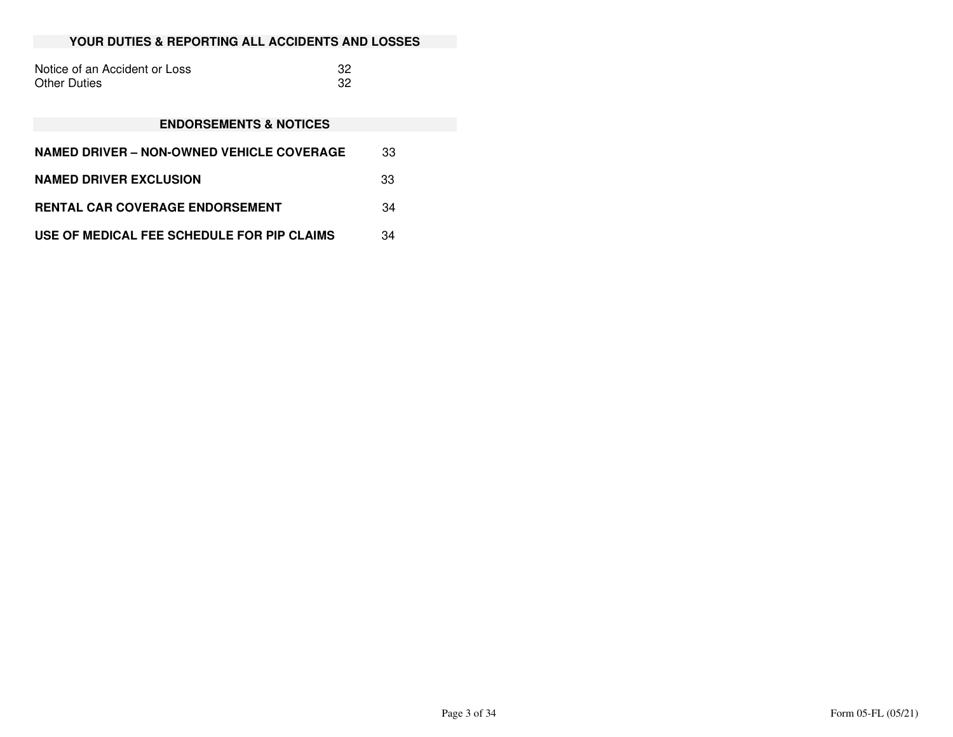# **YOUR DUTIES & REPORTING ALL ACCIDENTS AND LOSSES**

| Notice of an Accident or Loss |  |
|-------------------------------|--|
| Other Duties                  |  |

# **ENDORSEMENTS & NOTICES**

| NAMED DRIVER – NON-OWNED VEHICLE COVERAGE  | 33 |
|--------------------------------------------|----|
| <b>NAMED DRIVER EXCLUSION</b>              | 33 |
| <b>RENTAL CAR COVERAGE ENDORSEMENT</b>     | 34 |
| USE OF MEDICAL FEE SCHEDULE FOR PIP CLAIMS | 34 |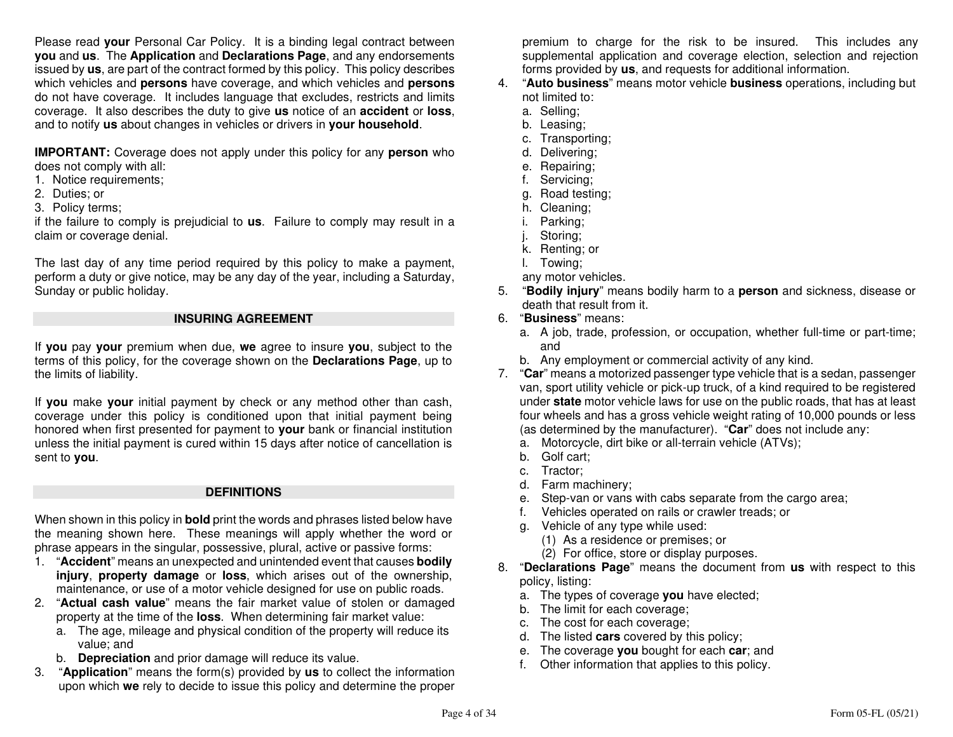Please read **your** Personal Car Policy. It is a binding legal contract between **you** and **us**. The **Application** and **Declarations Page**, and any endorsements issued by **us**, are part of the contract formed by this policy. This policy describes which vehicles and **persons** have coverage, and which vehicles and **persons** do not have coverage. It includes language that excludes, restricts and limits coverage. It also describes the duty to give **us** notice of an **accident** or **loss**, and to notify **us** about changes in vehicles or drivers in **your household**.

**IMPORTANT:** Coverage does not apply under this policy for any **person** who does not comply with all:

- 1. Notice requirements;
- 2. Duties; or
- 3. Policy terms;

 if the failure to comply is prejudicial to **us**. Failure to comply may result in a claim or coverage denial.

The last day of any time period required by this policy to make a payment, perform a duty or give notice, may be any day of the year, including a Saturday, Sunday or public holiday.

#### **INSURING AGREEMENT**

If **you** pay **your** premium when due, **we** agree to insure **you**, subject to the terms of this policy, for the coverage shown on the **Declarations Page**, up to the limits of liability.

If **you** make **your** initial payment by check or any method other than cash, coverage under this policy is conditioned upon that initial payment being honored when first presented for payment to **your** bank or financial institution unless the initial payment is cured within 15 days after notice of cancellation is sent to **you**.

#### **DEFINITIONS**

When shown in this policy in **bold** print the words and phrases listed below have the meaning shown here. These meanings will apply whether the word or phrase appears in the singular, possessive, plural, active or passive forms:

- 1. "**Accident**" means an unexpected and unintended event that causes **bodily injury**, **property damage** or **loss**, which arises out of the ownership, maintenance, or use of a motor vehicle designed for use on public roads.
- 2. "**Actual cash value**" means the fair market value of stolen or damaged property at the time of the **loss**. When determining fair market value:
	- a. The age, mileage and physical condition of the property will reduce its value; and
- b. **Depreciation** and prior damage will reduce its value.
- 3. "**Application**" means the form(s) provided by **us** to collect the information upon which **we** rely to decide to issue this policy and determine the proper

premium to charge for the risk to be insured. This includes any supplemental application and coverage election, selection and rejection forms provided by **us**, and requests for additional information.

- 4. "**Auto business**" means motor vehicle **business** operations, including but not limited to:
	- a. Selling;
- b. Leasing;
- c. Transporting;
	- d. Delivering;
- e. Repairing;
- f. Servicing;
- g. Road testing;
	- h. Cleaning;
	- i. Parking;
	- j. Storing;
- k. Renting; or
	- l. Towing;
- any motor vehicles.
- 5. "**Bodily injury**" means bodily harm to a **person** and sickness, disease or death that result from it.
- 6. "**Business**" means:
- a. A job, trade, profession, or occupation, whether full-time or part-time; and
- b. Any employment or commercial activity of any kind.
- 7. "**Car**" means a motorized passenger type vehicle that is a sedan, passenger van, sport utility vehicle or pick-up truck, of a kind required to be registered under **state** motor vehicle laws for use on the public roads, that has at least four wheels and has a gross vehicle weight rating of 10,000 pounds or less (as determined by the manufacturer). "**Car**" does not include any:
	- a. Motorcycle, dirt bike or all-terrain vehicle (ATVs);
	- b. Golf cart;
	- c. Tractor;
- d. Farm machinery;
- e. Step-van or vans with cabs separate from the cargo area;
	- f. Vehicles operated on rails or crawler treads; or
	- g. Vehicle of any type while used:
- (1) As a residence or premises; or
	- (2) For office, store or display purposes.
- 8. "**Declarations Page**" means the document from **us** with respect to this policy, listing:
- a. The types of coverage **you** have elected;
	- b. The limit for each coverage;
- c. The cost for each coverage;
- d. The listed **cars** covered by this policy;
- e. The coverage **you** bought for each **car**; and
	- f. Other information that applies to this policy.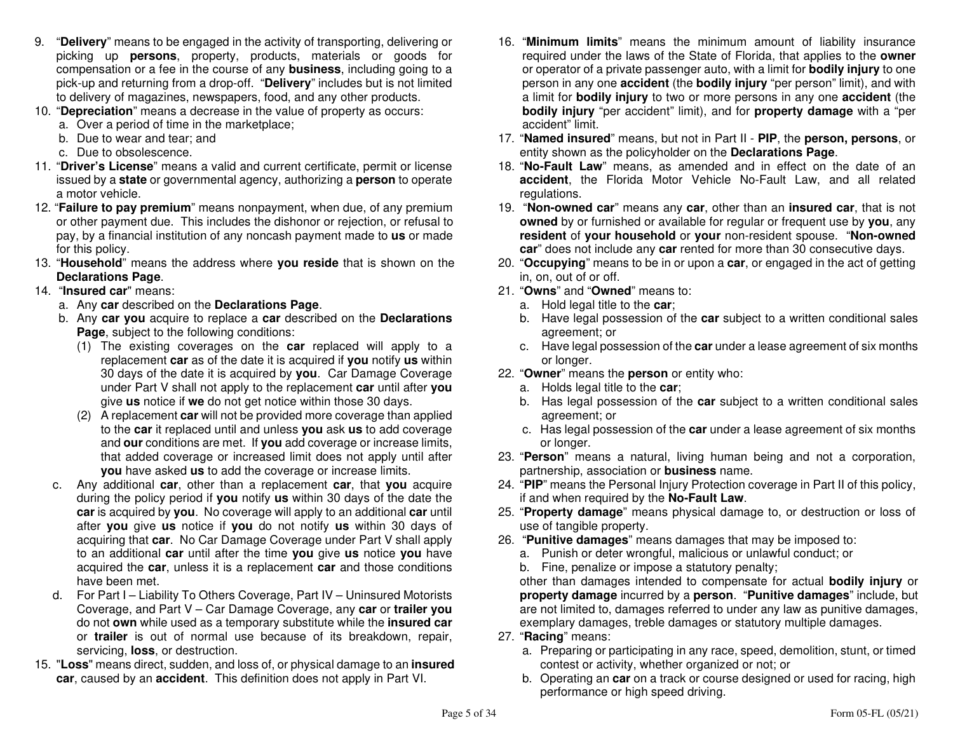- 9. "**Delivery**" means to be engaged in the activity of transporting, delivering or picking up **persons**, property, products, materials or goods for compensation or a fee in the course of any **business**, including going to a pick-up and returning from a drop-off. "**Delivery**" includes but is not limited to delivery of magazines, newspapers, food, and any other products.
- 10. "**Depreciation**" means a decrease in the value of property as occurs:
	- a. Over a period of time in the marketplace;
	- b. Due to wear and tear; and
	- c. Due to obsolescence.
- 11. "**Driver's License**" means a valid and current certificate, permit or license issued by a **state** or governmental agency, authorizing a **person** to operate a motor vehicle.
- 12. "**Failure to pay premium**" means nonpayment, when due, of any premium or other payment due. This includes the dishonor or rejection, or refusal to pay, by a financial institution of any noncash payment made to **us** or made for this policy.
- 13. "**Household**" means the address where **you reside** that is shown on the **Declarations Page**.
- 14. "**Insured car**" means:
- a. Any **car** described on the **Declarations Page**.
- b. Any **car you** acquire to replace a **car** described on the **Declarations Page**, subject to the following conditions:
- (1) The existing coverages on the **car** replaced will apply to a replacement **car** as of the date it is acquired if **you** notify **us** within 30 days of the date it is acquired by **you**. Car Damage Coverage under Part V shall not apply to the replacement **car** until after **you**give **us** notice if **we** do not get notice within those 30 days.
	- (2) A replacement **car** will not be provided more coverage than applied to the **car** it replaced until and unless **you** ask **us** to add coverage and **our** conditions are met. If **you** add coverage or increase limits, that added coverage or increased limit does not apply until after **you** have asked **us** to add the coverage or increase limits.
- c. Any additional **car**, other than a replacement **car**, that **you** acquire during the policy period if **you** notify **us** within 30 days of the date the **car** is acquired by **you**. No coverage will apply to an additional **car** until after **you** give **us** notice if **you** do not notify **us** within 30 days of acquiring that **car**. No Car Damage Coverage under Part V shall apply to an additional **car** until after the time **you** give **us** notice **you** have acquired the **car**, unless it is a replacement **car** and those conditions have been met.
- d. For Part I Liability To Others Coverage, Part IV Uninsured Motorists Coverage, and Part V – Car Damage Coverage, any **car** or **trailer you** do not **own** while used as a temporary substitute while the **insured car** or **trailer** is out of normal use because of its breakdown, repair, servicing, **loss**, or destruction.
- 15. "**Loss**" means direct, sudden, and loss of, or physical damage to an **insured car**, caused by an **accident**. This definition does not apply in Part VI.
- 16. "**Minimum limits**" means the minimum amount of liability insurance required under the laws of the State of Florida, that applies to the **owner** or operator of a private passenger auto, with a limit for **bodily injury** to one person in any one **accident** (the **bodily injury** "per person" limit), and with a limit for **bodily injury** to two or more persons in any one **accident** (the **bodily injury** "per accident" limit), and for **property damage** with a "per accident" limit.
- 17. "**Named insured**" means, but not in Part II **PIP**, the **person, persons**, or entity shown as the policyholder on the **Declarations Page**.
- 18. "**No-Fault Law**" means, as amended and in effect on the date of an **accident**, the Florida Motor Vehicle No-Fault Law, and all related regulations.
- 19. "**Non-owned car**" means any **car**, other than an **insured car**, that is not **owned** by or furnished or available for regular or frequent use by **you**, any **resident** of **your household** or **your** non-resident spouse. "**Non-owned car**" does not include any **car** rented for more than 30 consecutive days.
- 20. "**Occupying**" means to be in or upon a **car**, or engaged in the act of getting in, on, out of or off.
- 21. "**Owns**" and "**Owned**" means to:
	- a. Hold legal title to the **car**;
- b. Have legal possession of the **car** subject to a written conditional sales agreement; or
- c. Have legal possession of the **car** under a lease agreement of six months or longer.
- 22. "**Owner**" means the **person** or entity who:
	- a. Holds legal title to the **car**;
- b. Has legal possession of the **car** subject to a written conditional sales agreement; or
- c. Has legal possession of the **car** under a lease agreement of six months or longer.
- 23. "**Person**" means a natural, living human being and not a corporation, partnership, association or **business** name.
- 24. "**PIP**" means the Personal Injury Protection coverage in Part II of this policy, if and when required by the **No-Fault Law**.
- 25. "**Property damage**" means physical damage to, or destruction or loss of use of tangible property.
- 26. "**Punitive damages**" means damages that may be imposed to:
	- a. Punish or deter wrongful, malicious or unlawful conduct; or
	- b. Fine, penalize or impose a statutory penalty;

 other than damages intended to compensate for actual **bodily injury** or **property damage** incurred by a **person**. "**Punitive damages**" include, but are not limited to, damages referred to under any law as punitive damages, exemplary damages, treble damages or statutory multiple damages.

- 27. "**Racing**" means:
- a. Preparing or participating in any race, speed, demolition, stunt, or timed contest or activity, whether organized or not; or
- b. Operating an **car** on a track or course designed or used for racing, high performance or high speed driving.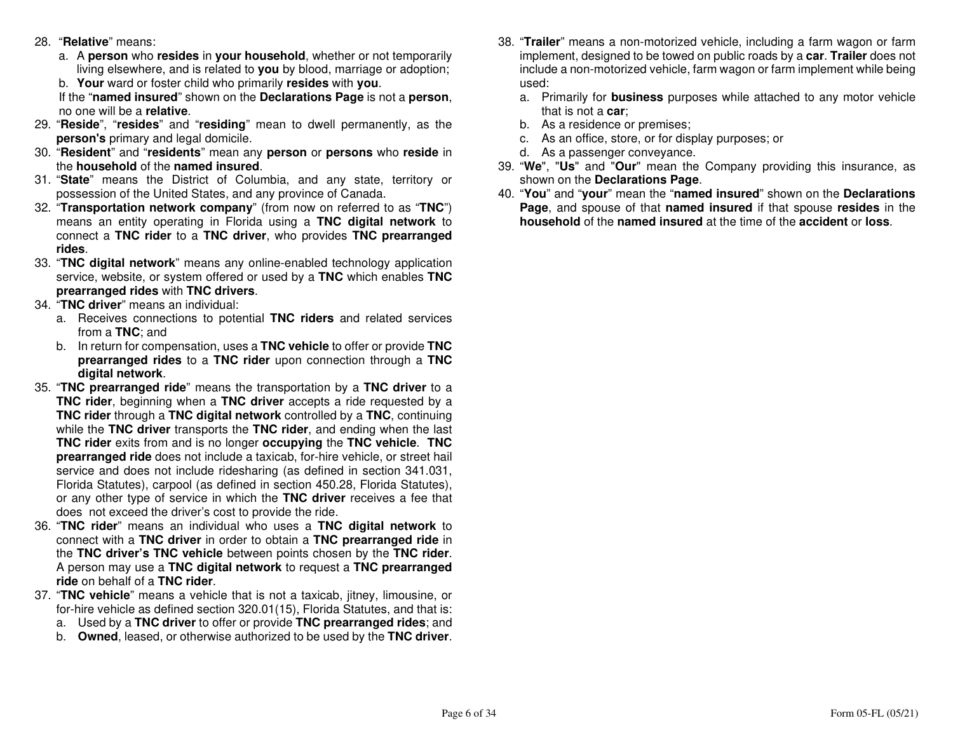- 28. "**Relative**" means:
- a. A **person** who **resides** in **your household**, whether or not temporarily living elsewhere, and is related to **you** by blood, marriage or adoption;
	- b. **Your** ward or foster child who primarily **resides** with **you**.

 If the "**named insured**" shown on the **Declarations Page** is not a **person**, no one will be a **relative**.

- 29. "**Reside**", "**resides**" and "**residing**" mean to dwell permanently, as the **person's** primary and legal domicile.
- 30. "**Resident**" and "**residents**" mean any **person** or **persons** who **reside** in the **household** of the **named insured**.
- 31. "**State**" means the District of Columbia, and any state, territory or possession of the United States, and any province of Canada.
- 32. "**Transportation network company**" (from now on referred to as "**TNC**") means an entity operating in Florida using a **TNC digital network** to connect a **TNC rider** to a **TNC driver**, who provides **TNC prearranged rides**.
- 33. "**TNC digital network**" means any online-enabled technology application service, website, or system offered or used by a **TNC** which enables **TNC prearranged rides** with **TNC drivers**.
- 34. "**TNC driver**" means an individual:
	- a. Receives connections to potential **TNC riders** and related services from a **TNC**; and
	- b. In return for compensation, uses a **TNC vehicle** to offer or provide **TNC prearranged rides** to a **TNC rider** upon connection through a **TNC digital network**.
- 35. "**TNC prearranged ride**" means the transportation by a **TNC driver** to a **TNC rider**, beginning when a **TNC driver** accepts a ride requested by a **TNC rider** through a **TNC digital network** controlled by a **TNC**, continuing while the **TNC driver** transports the **TNC rider**, and ending when the last **TNC rider** exits from and is no longer **occupying** the **TNC vehicle**. **TNC prearranged ride** does not include a taxicab, for-hire vehicle, or street hail service and does not include ridesharing (as defined in section 341.031, Florida Statutes), carpool (as defined in section 450.28, Florida Statutes), or any other type of service in which the **TNC driver** receives a fee that does not exceed the driver's cost to provide the ride.
- 36. "**TNC rider**" means an individual who uses a **TNC digital network** to connect with a **TNC driver** in order to obtain a **TNC prearranged ride** in the **TNC driver's TNC vehicle** between points chosen by the **TNC rider**. A person may use a **TNC digital network** to request a **TNC prearranged ride** on behalf of a **TNC rider**.
- 37. "**TNC vehicle**" means a vehicle that is not a taxicab, jitney, limousine, or for-hire vehicle as defined section 320.01(15), Florida Statutes, and that is:
	- a. Used by a **TNC driver** to offer or provide **TNC prearranged rides**; and
	- b. **Owned**, leased, or otherwise authorized to be used by the **TNC driver**.
- 38. "**Trailer**" means a non-motorized vehicle, including a farm wagon or farm implement, designed to be towed on public roads by a **car**. **Trailer** does not include a non-motorized vehicle, farm wagon or farm implement while being used:
	- a. Primarily for **business** purposes while attached to any motor vehicle that is not a **car**;
	- b. As a residence or premises;
	- c. As an office, store, or for display purposes; or
	- d. As a passenger conveyance.
- 39. "**We**", "**Us**" and "**Our**" mean the Company providing this insurance, as shown on the **Declarations Page**.
- 40. "**You**" and "**your**" mean the "**named insured**" shown on the **Declarations Page**, and spouse of that **named insured** if that spouse **resides** in the **household** of the **named insured** at the time of the **accident** or **loss**.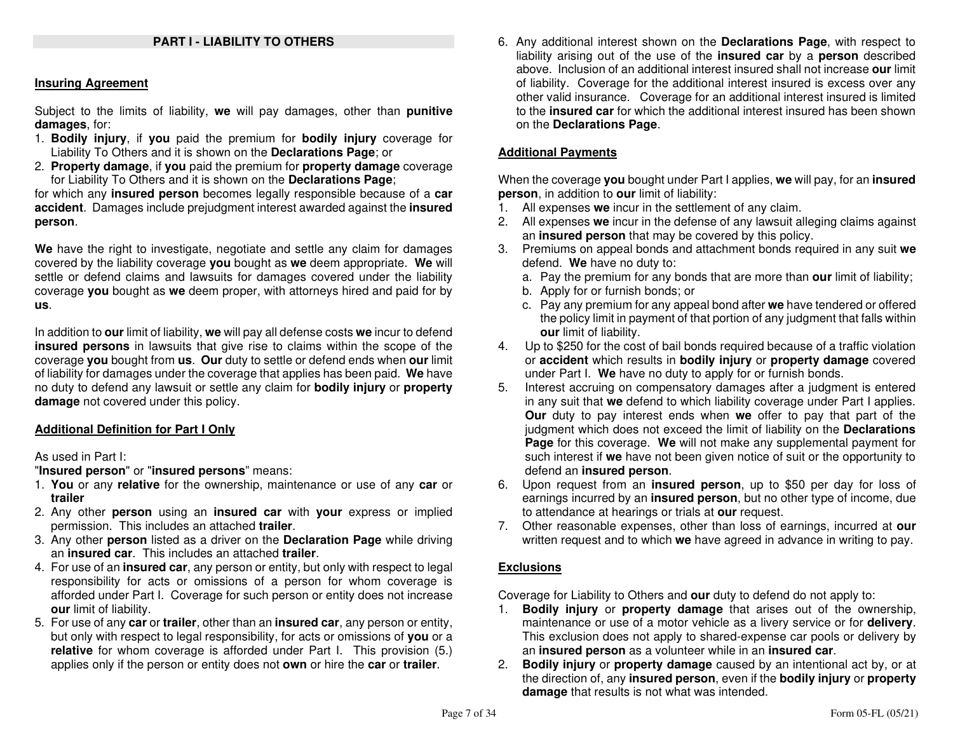#### **Insuring Agreement**

Subject to the limits of liability, **we** will pay damages, other than **punitive damages**, for:

- 1. **Bodily injury**, if **you** paid the premium for **bodily injury** coverage for Liability To Others and it is shown on the **Declarations Page**; or
- 2. **Property damage**, if **you** paid the premium for **property damage** coverage for Liability To Others and it is shown on the **Declarations Page**;

 for which any **insured person** becomes legally responsible because of a **car accident**. Damages include prejudgment interest awarded against the **insuredperson**.

**We** have the right to investigate, negotiate and settle any claim for damages covered by the liability coverage **you** bought as **we** deem appropriate. **We** will settle or defend claims and lawsuits for damages covered under the liability coverage **you** bought as **we** deem proper, with attorneys hired and paid for by **us**.

In addition to **our** limit of liability, **we** will pay all defense costs **we** incur to defend **insured persons** in lawsuits that give rise to claims within the scope of the coverage **you** bought from **us**. **Our** duty to settle or defend ends when **our** limit of liability for damages under the coverage that applies has been paid. **We** have no duty to defend any lawsuit or settle any claim for **bodily injury** or **property damage** not covered under this policy.

# **Additional Definition for Part I Only**

#### As used in Part I:

"**Insured person**" or "**insured persons**" means:

- 1. **You** or any **relative** for the ownership, maintenance or use of any **car** or **trailer**
- 2. Any other **person** using an **insured car** with **your** express or implied permission. This includes an attached **trailer**.
- 3. Any other **person** listed as a driver on the **Declaration Page** while driving an **insured car**. This includes an attached **trailer**.
- 4. For use of an **insured car**, any person or entity, but only with respect to legal responsibility for acts or omissions of a person for whom coverage is afforded under Part I. Coverage for such person or entity does not increase **our** limit of liability.
- 5. For use of any **car** or **trailer**, other than an **insured car**, any person or entity, but only with respect to legal responsibility, for acts or omissions of **you** or a **relative** for whom coverage is afforded under Part I. This provision (5.) applies only if the person or entity does not **own** or hire the **car** or **trailer**.

6. Any additional interest shown on the **Declarations Page**, with respect to liability arising out of the use of the **insured car** by a **person** described above. Inclusion of an additional interest insured shall not increase **our** limit of liability. Coverage for the additional interest insured is excess over any other valid insurance. Coverage for an additional interest insured is limited to the **insured car** for which the additional interest insured has been shown on the **Declarations Page**.

# **Additional Payments**

When the coverage **you** bought under Part I applies, **we** will pay, for an **insuredperson**, in addition to **our** limit of liability:

- 1. All expenses **we** incur in the settlement of any claim.
- 2. All expenses **we** incur in the defense of any lawsuit alleging claims against an **insured person** that may be covered by this policy.
- 3. Premiums on appeal bonds and attachment bonds required in any suit **we** defend. **We** have no duty to:
- a. Pay the premium for any bonds that are more than **our** limit of liability;
	- b. Apply for or furnish bonds; or
- c. Pay any premium for any appeal bond after **we** have tendered or offered the policy limit in payment of that portion of any judgment that falls within **our** limit of liability.
- 4. Up to \$250 for the cost of bail bonds required because of a traffic violation or **accident** which results in **bodily injury** or **property damage** covered under Part I. **We** have no duty to apply for or furnish bonds.
- 5. Interest accruing on compensatory damages after a judgment is entered in any suit that **we** defend to which liability coverage under Part I applies. **Our** duty to pay interest ends when **we** offer to pay that part of the judgment which does not exceed the limit of liability on the **Declarations Page** for this coverage. **We** will not make any supplemental payment for such interest if **we** have not been given notice of suit or the opportunity to defend an **insured person**.
- 6. Upon request from an **insured person**, up to \$50 per day for loss of earnings incurred by an **insured person**, but no other type of income, due to attendance at hearings or trials at **our** request.
- 7. Other reasonable expenses, other than loss of earnings, incurred at **our** written request and to which **we** have agreed in advance in writing to pay.

# **Exclusions**

Coverage for Liability to Others and **our** duty to defend do not apply to:

- 1. **Bodily injury** or **property damage** that arises out of the ownership, maintenance or use of a motor vehicle as a livery service or for **delivery**. This exclusion does not apply to shared-expense car pools or delivery by an **insured person** as a volunteer while in an **insured car**.
- 2. **Bodily injury** or **property damage** caused by an intentional act by, or at the direction of, any **insured person**, even if the **bodily injury** or **property damage** that results is not what was intended.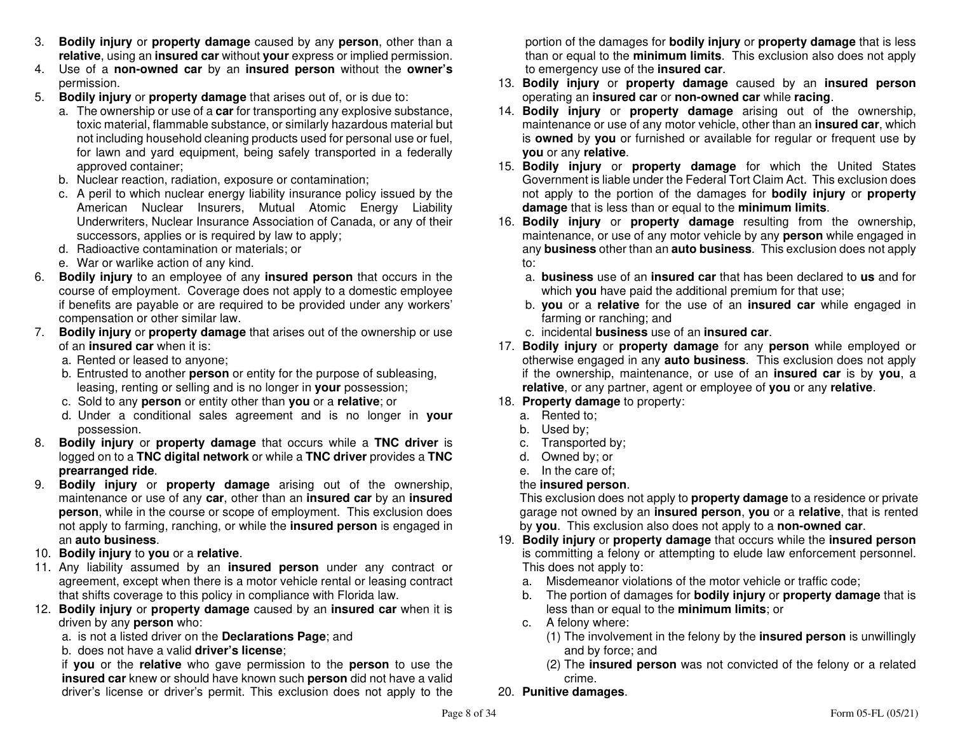- 3. **Bodily injury** or **property damage** caused by any **person**, other than a **relative**, using an **insured car** without **your** express or implied permission.
- 4. Use of a **non-owned car** by an **insured person** without the **owner's**permission.
- 5. **Bodily injury** or **property damage** that arises out of, or is due to:
- a. The ownership or use of a **car** for transporting any explosive substance, toxic material, flammable substance, or similarly hazardous material but not including household cleaning products used for personal use or fuel, for lawn and yard equipment, being safely transported in a federally approved container;
- b. Nuclear reaction, radiation, exposure or contamination;
- c. A peril to which nuclear energy liability insurance policy issued by the American Nuclear Insurers, Mutual Atomic Energy Liability Underwriters, Nuclear Insurance Association of Canada, or any of their successors, applies or is required by law to apply;
	- d. Radioactive contamination or materials; or
	- e. War or warlike action of any kind.
- 6. **Bodily injury** to an employee of any **insured person** that occurs in the course of employment. Coverage does not apply to a domestic employee if benefits are payable or are required to be provided under any workers' compensation or other similar law.
- 7. **Bodily injury** or **property damage** that arises out of the ownership or use of an **insured car** when it is:
- a. Rented or leased to anyone;
- b. Entrusted to another **person** or entity for the purpose of subleasing, leasing, renting or selling and is no longer in **your** possession;
	- c. Sold to any **person** or entity other than **you** or a **relative**; or
- d. Under a conditional sales agreement and is no longer in **your** possession.
- 8. **Bodily injury** or **property damage** that occurs while a **TNC driver** is logged on to a **TNC digital network** or while a **TNC driver** provides a **TNC prearranged ride**.
- 9. **Bodily injury** or **property damage** arising out of the ownership, maintenance or use of any **car**, other than an **insured car** by an **insured person**, while in the course or scope of employment. This exclusion does not apply to farming, ranching, or while the **insured person** is engaged in an **auto business**.
- 10. **Bodily injury** to **you** or a **relative**.
- 11. Any liability assumed by an **insured person** under any contract or agreement, except when there is a motor vehicle rental or leasing contract that shifts coverage to this policy in compliance with Florida law.
- 12. **Bodily injury** or **property damage** caused by an **insured car** when it is driven by any **person** who:
	- a. is not a listed driver on the **Declarations Page**; and
	- b. does not have a valid **driver's license**;

 if **you** or the **relative** who gave permission to the **person** to use the **insured car** knew or should have known such **person** did not have a valid driver's license or driver's permit. This exclusion does not apply to the portion of the damages for **bodily injury** or **property damage** that is less than or equal to the **minimum limits**. This exclusion also does not apply to emergency use of the **insured car**.

- 13. **Bodily injury** or **property damage** caused by an **insured person** operating an **insured car** or **non-owned car** while **racing**.
- 14. **Bodily injury** or **property damage** arising out of the ownership, maintenance or use of any motor vehicle, other than an **insured car**, which is **owned** by **you** or furnished or available for regular or frequent use by **you** or any **relative**.
- 15. **Bodily injury** or **property damage** for which the United States Government is liable under the Federal Tort Claim Act. This exclusion does not apply to the portion of the damages for **bodily injury** or **property damage** that is less than or equal to the **minimum limits**.
- 16. **Bodily injury** or **property damage** resulting from the ownership, maintenance, or use of any motor vehicle by any **person** while engaged in any **business** other than an **auto business**. This exclusion does not apply to:
	- a. **business** use of an **insured car** that has been declared to **us** and for which **you** have paid the additional premium for that use;
	- b. **you** or a **relative** for the use of an **insured car** while engaged in farming or ranching; and
	- c. incidental **business** use of an **insured car**.
- 17. **Bodily injury** or **property damage** for any **person** while employed or otherwise engaged in any **auto business**. This exclusion does not apply if the ownership, maintenance, or use of an **insured car** is by **you**, <sup>a</sup>**relative**, or any partner, agent or employee of **you** or any **relative**.
- 18. **Property damage** to property:
	- a. Rented to;
	- b. Used by;
- c. Transported by;
	- d. Owned by; or
- e. In the care of;

# the **insured person**.

 This exclusion does not apply to **property damage** to a residence or private garage not owned by an **insured person**, **you** or a **relative**, that is rented by **you**. This exclusion also does not apply to a **non-owned car**.

- 19. **Bodily injury** or **property damage** that occurs while the **insured person** is committing a felony or attempting to elude law enforcement personnel. This does not apply to:
- a. Misdemeanor violations of the motor vehicle or traffic code;
- b. The portion of damages for **bodily injury** or **property damage** that is less than or equal to the **minimum limits**; or
	- c. A felony where:
- (1) The involvement in the felony by the **insured person** is unwillingly and by force; and
- (2) The **insured person** was not convicted of the felony or a related crime.
- 20. **Punitive damages**.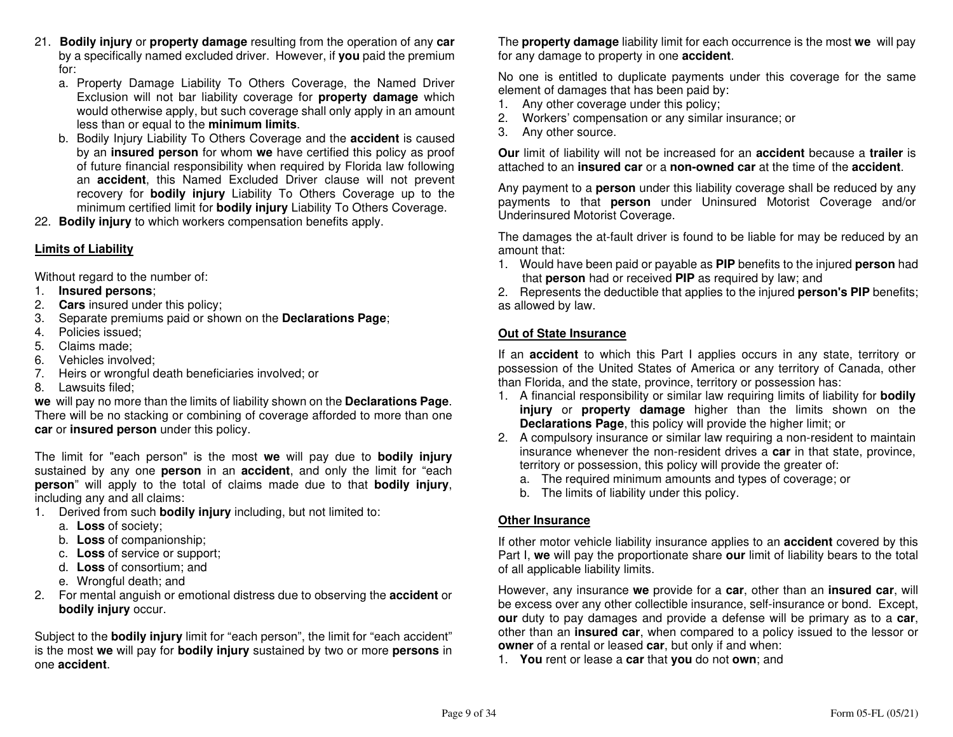- 21. **Bodily injury** or **property damage** resulting from the operation of any **car** by a specifically named excluded driver. However, if **you** paid the premium for:
- a. Property Damage Liability To Others Coverage, the Named Driver Exclusion will not bar liability coverage for **property damage** which would otherwise apply, but such coverage shall only apply in an amount less than or equal to the **minimum limits**.
- b. Bodily Injury Liability To Others Coverage and the **accident** is caused by an **insured person** for whom **we** have certified this policy as proof of future financial responsibility when required by Florida law following an **accident**, this Named Excluded Driver clause will not prevent recovery for **bodily injury** Liability To Others Coverage up to the minimum certified limit for **bodily injury** Liability To Others Coverage.
- 22. **Bodily injury** to which workers compensation benefits apply.

# **Limits of Liability**

Without regard to the number of:

- 1. **Insured persons**;
- 2. **Cars** insured under this policy;
- 3. Separate premiums paid or shown on the **Declarations Page**;
- 4. Policies issued;
- 5. Claims made;
- 6. Vehicles involved;
- 7. Heirs or wrongful death beneficiaries involved; or
- 8. Lawsuits filed;

 **we** will pay no more than the limits of liability shown on the **Declarations Page**. There will be no stacking or combining of coverage afforded to more than one **car** or **insured person** under this policy.

The limit for "each person" is the most **we** will pay due to **bodily injury** sustained by any one **person** in an **accident**, and only the limit for "each **person**" will apply to the total of claims made due to that **bodily injury**, including any and all claims:

- 1. Derived from such **bodily injury** including, but not limited to:
	- a. **Loss** of society;
	- b. **Loss** of companionship;
- c. **Loss** of service or support;
	- d. **Loss** of consortium; and
	- e. Wrongful death; and
- 2. For mental anguish or emotional distress due to observing the **accident** or **bodily injury** occur.

Subject to the **bodily injury** limit for "each person", the limit for "each accident" is the most **we** will pay for **bodily injury** sustained by two or more **persons** in one **accident**.

The **property damage** liability limit for each occurrence is the most **we** will pay for any damage to property in one **accident**.

No one is entitled to duplicate payments under this coverage for the same element of damages that has been paid by:

- 1. Any other coverage under this policy;
- 2. Workers' compensation or any similar insurance; or
- 3. Any other source.

**Our** limit of liability will not be increased for an **accident** because a **trailer** is attached to an **insured car** or a **non-owned car** at the time of the **accident**.

Any payment to a **person** under this liability coverage shall be reduced by any payments to that **person** under Uninsured Motorist Coverage and/or Underinsured Motorist Coverage.

The damages the at-fault driver is found to be liable for may be reduced by an amount that:

 1. Would have been paid or payable as **PIP** benefits to the injured **person** had that **person** had or received **PIP** as required by law; and

 2. Represents the deductible that applies to the injured **person's PIP** benefits; as allowed by law.

# **Out of State Insurance**

If an **accident** to which this Part I applies occurs in any state, territory or possession of the United States of America or any territory of Canada, other than Florida, and the state, province, territory or possession has:

- 1. A financial responsibility or similar law requiring limits of liability for **bodily injury** or **property damage** higher than the limits shown on the **Declarations Page**, this policy will provide the higher limit; or
- 2. A compulsory insurance or similar law requiring a non-resident to maintain insurance whenever the non-resident drives a **car** in that state, province, territory or possession, this policy will provide the greater of:
	- a. The required minimum amounts and types of coverage; or
	- b. The limits of liability under this policy.

# **Other Insurance**

If other motor vehicle liability insurance applies to an **accident** covered by this Part I, **we** will pay the proportionate share **our** limit of liability bears to the total of all applicable liability limits.

However, any insurance **we** provide for a **car**, other than an **insured car**, will be excess over any other collectible insurance, self-insurance or bond. Except, **our** duty to pay damages and provide a defense will be primary as to a **car**, other than an **insured car**, when compared to a policy issued to the lessor or**owner** of a rental or leased **car**, but only if and when:

1. **You** rent or lease a **car** that **you** do not **own**; and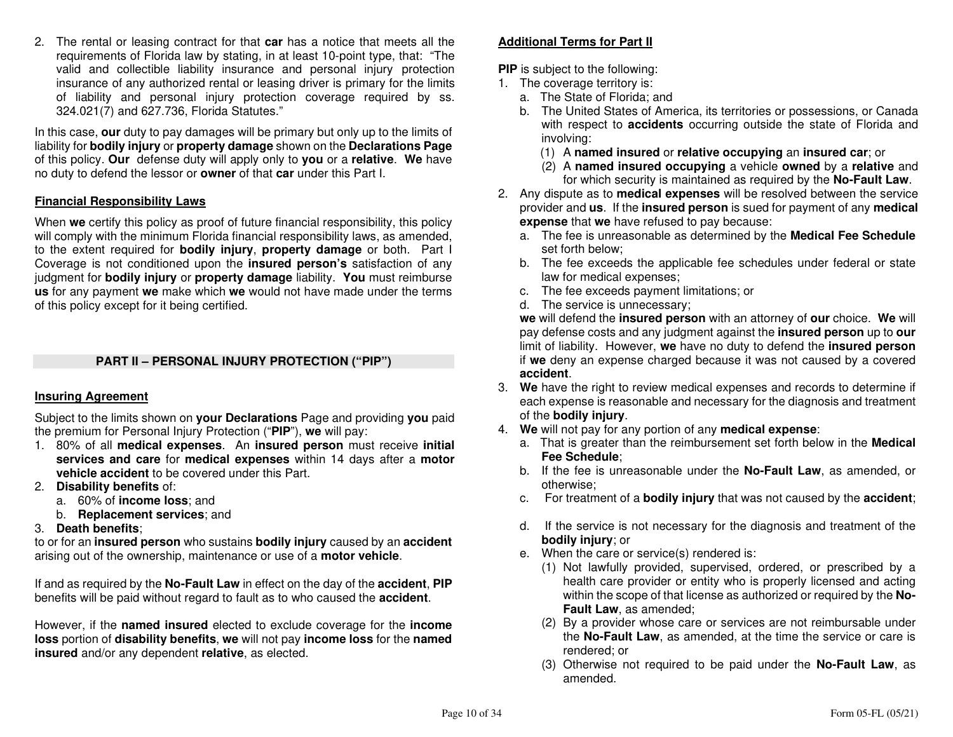2. The rental or leasing contract for that **car** has a notice that meets all the requirements of Florida law by stating, in at least 10-point type, that: "The valid and collectible liability insurance and personal injury protection insurance of any authorized rental or leasing driver is primary for the limits of liability and personal injury protection coverage required by ss. 324.021(7) and 627.736, Florida Statutes."

In this case, **our** duty to pay damages will be primary but only up to the limits of liability for **bodily injury** or **property damage** shown on the **Declarations Page** of this policy. **Our** defense duty will apply only to **you** or a **relative**. **We** have no duty to defend the lessor or **owner** of that **car** under this Part I.

# **Financial Responsibility Laws**

When **we** certify this policy as proof of future financial responsibility, this policy will comply with the minimum Florida financial responsibility laws, as amended, to the extent required for **bodily injury**, **property damage** or both. Part I Coverage is not conditioned upon the **insured person's** satisfaction of any judgment for **bodily injury** or **property damage** liability. **You** must reimburse **us** for any payment **we** make which **we** would not have made under the terms of this policy except for it being certified.

# **PART II – PERSONAL INJURY PROTECTION ("PIP")**

# **Insuring Agreement**

Subject to the limits shown on **your Declarations** Page and providing **you** paid the premium for Personal Injury Protection ("**PIP**"), **we** will pay:

- 1. 80% of all **medical expenses**. An **insured person** must receive **initial services and care** for **medical expenses** within 14 days after a **motor vehicle accident** to be covered under this Part.
- 2. **Disability benefits** of:
- a. 60% of **income loss**; and
- b. **Replacement services**; and
- 3. **Death benefits**;

 to or for an **insured person** who sustains **bodily injury** caused by an **accident** arising out of the ownership, maintenance or use of a **motor vehicle**.

If and as required by the **No-Fault Law** in effect on the day of the **accident**, **PIP**benefits will be paid without regard to fault as to who caused the **accident**.

However, if the **named insured** elected to exclude coverage for the **income loss** portion of **disability benefits**, **we** will not pay **income loss** for the **named insured** and/or any dependent **relative**, as elected.

# **Additional Terms for Part II**

**PIP** is subject to the following:

- 1. The coverage territory is:
	- a. The State of Florida; and
	- b. The United States of America, its territories or possessions, or Canada with respect to **accidents** occurring outside the state of Florida and involving:
- (1) A **named insured** or **relative occupying** an **insured car**; or
	- (2) A **named insured occupying** a vehicle **owned** by a **relative** and for which security is maintained as required by the **No-Fault Law**.
- 2. Any dispute as to **medical expenses** will be resolved between the service provider and **us**. If the **insured person** is sued for payment of any **medical expense** that **we** have refused to pay because:
	- a. The fee is unreasonable as determined by the **Medical Fee Schedule**set forth below;
	- b. The fee exceeds the applicable fee schedules under federal or state law for medical expenses;
	- c. The fee exceeds payment limitations; or
	- d. The service is unnecessary;

 **we** will defend the **insured person** with an attorney of **our** choice. **We** will pay defense costs and any judgment against the **insured person** up to **our**  limit of liability. However, **we** have no duty to defend the **insured person** if **we** deny an expense charged because it was not caused by a covered **accident**.

- 3. **We** have the right to review medical expenses and records to determine if each expense is reasonable and necessary for the diagnosis and treatment of the **bodily injury**.
- 4. **We** will not pay for any portion of any **medical expense**:
	- a. That is greater than the reimbursement set forth below in the **Medical Fee Schedule**;
	- b. If the fee is unreasonable under the **No-Fault Law**, as amended, or otherwise;
	- c. For treatment of a **bodily injury** that was not caused by the **accident**;
	- d. If the service is not necessary for the diagnosis and treatment of the **bodily injury**; or
	- e. When the care or service(s) rendered is:
	- (1) Not lawfully provided, supervised, ordered, or prescribed by a health care provider or entity who is properly licensed and acting within the scope of that license as authorized or required by the **No-Fault Law**, as amended;
		- (2) By a provider whose care or services are not reimbursable under the **No-Fault Law**, as amended, at the time the service or care is rendered; or
		- (3) Otherwise not required to be paid under the **No-Fault Law**, as amended.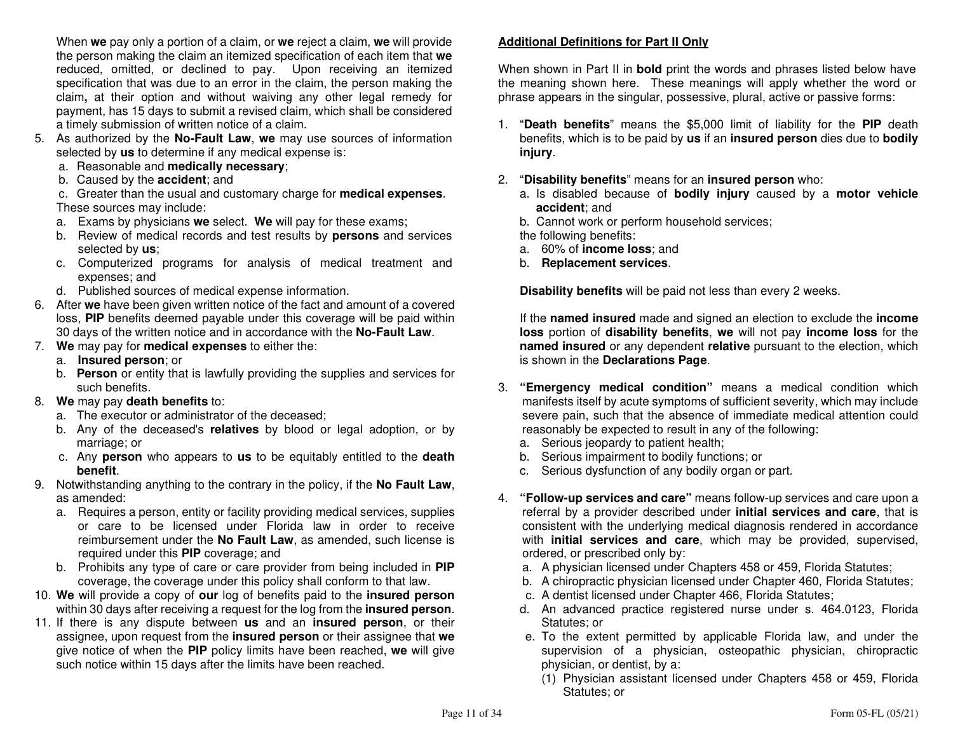When **we** pay only a portion of a claim, or **we** reject a claim, **we** will provide the person making the claim an itemized specification of each item that **we** reduced, omitted, or declined to pay. Upon receiving an itemized specification that was due to an error in the claim, the person making the claim**,** at their option and without waiving any other legal remedy for payment, has 15 days to submit a revised claim, which shall be considered a timely submission of written notice of a claim.

- 5. As authorized by the **No-Fault Law**, **we** may use sources of information selected by **us** to determine if any medical expense is:
	- a. Reasonable and **medically necessary**;
	- b. Caused by the **accident**; and

 c. Greater than the usual and customary charge for **medical expenses**. These sources may include:

- a. Exams by physicians **we** select. **We** will pay for these exams;
- b. Review of medical records and test results by **persons** and services selected by **us**;
- c. Computerized programs for analysis of medical treatment and expenses; and
- d. Published sources of medical expense information.
- 6. After **we** have been given written notice of the fact and amount of a covered loss, **PIP** benefits deemed payable under this coverage will be paid within 30 days of the written notice and in accordance with the **No-Fault Law**.
- 7. **We** may pay for **medical expenses** to either the:
- a. **Insured person**; or
	- b. **Person** or entity that is lawfully providing the supplies and services for such benefits.
- 8. **We** may pay **death benefits** to:
	- a. The executor or administrator of the deceased;
	- b. Any of the deceased's **relatives** by blood or legal adoption, or by marriage; or
- c. Any **person** who appears to **us** to be equitably entitled to the **death benefit**.
- 9. Notwithstanding anything to the contrary in the policy, if the **No Fault Law**, as amended:
- a. Requires a person, entity or facility providing medical services, supplies or care to be licensed under Florida law in order to receive reimbursement under the **No Fault Law**, as amended, such license is required under this **PIP** coverage; and
- b. Prohibits any type of care or care provider from being included in **PIP**coverage, the coverage under this policy shall conform to that law.
- 10. **We** will provide a copy of **our** log of benefits paid to the **insured person**within 30 days after receiving a request for the log from the **insured person**.
- 11. If there is any dispute between **us** and an **insured person**, or their assignee, upon request from the **insured person** or their assignee that **we** give notice of when the **PIP** policy limits have been reached, **we** will give such notice within 15 days after the limits have been reached.

# **Additional Definitions for Part II Only**

When shown in Part II in **bold** print the words and phrases listed below have the meaning shown here. These meanings will apply whether the word or phrase appears in the singular, possessive, plural, active or passive forms:

- 1. "**Death benefits**" means the \$5,000 limit of liability for the **PIP** death benefits, which is to be paid by **us** if an **insured person** dies due to **bodily injury**.
- 2. "**Disability benefits**" means for an **insured person** who:
	- a. Is disabled because of **bodily injury** caused by a **motor vehicle accident**; and
- b. Cannot work or perform household services;

the following benefits:

- a. 60% of **income loss**; and
	- b. **Replacement services**.

**Disability benefits** will be paid not less than every 2 weeks.

 If the **named insured** made and signed an election to exclude the **income loss** portion of **disability benefits**, **we** will not pay **income loss** for the **named insured** or any dependent **relative** pursuant to the election, which is shown in the **Declarations Page**.

- 3. **"Emergency medical condition"** means a medical condition which manifests itself by acute symptoms of sufficient severity, which may include severe pain, such that the absence of immediate medical attention could reasonably be expected to result in any of the following:
	- a. Serious jeopardy to patient health;
- b. Serious impairment to bodily functions; or
- c. Serious dysfunction of any bodily organ or part.
- 4. **"Follow-up services and care"** means follow-up services and care upon a referral by a provider described under **initial services and care**, that is consistent with the underlying medical diagnosis rendered in accordance with **initial services and care**, which may be provided, supervised, ordered, or prescribed only by:
- a. A physician licensed under Chapters 458 or 459, Florida Statutes;
- b. A chiropractic physician licensed under Chapter 460, Florida Statutes;
	- c. A dentist licensed under Chapter 466, Florida Statutes;
	- d. An advanced practice registered nurse under s. 464.0123, Florida Statutes; or
	- e. To the extent permitted by applicable Florida law, and under the supervision of a physician, osteopathic physician, chiropractic physician, or dentist, by a:
		- (1) Physician assistant licensed under Chapters 458 or 459, Florida Statutes; or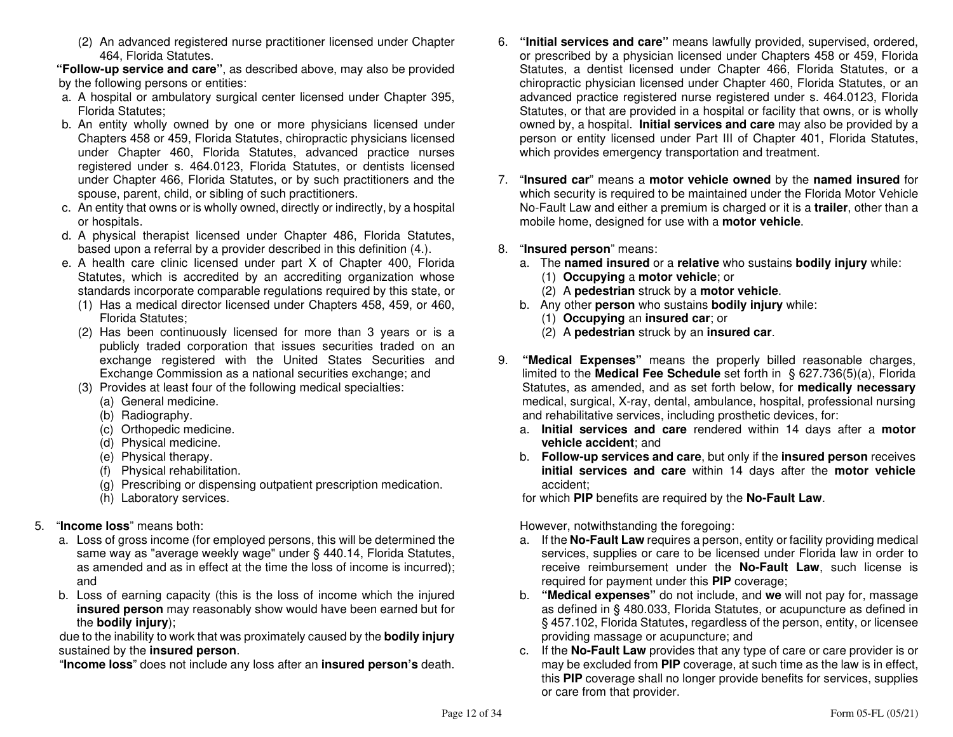(2) An advanced registered nurse practitioner licensed under Chapter 464, Florida Statutes.

 **"Follow-up service and care"**, as described above, may also be provided by the following persons or entities:

- a. A hospital or ambulatory surgical center licensed under Chapter 395, Florida Statutes;
- b. An entity wholly owned by one or more physicians licensed under Chapters 458 or 459, Florida Statutes, chiropractic physicians licensed under Chapter 460, Florida Statutes, advanced practice nurses registered under s. 464.0123, Florida Statutes, or dentists licensed under Chapter 466, Florida Statutes, or by such practitioners and the spouse, parent, child, or sibling of such practitioners.
- c. An entity that owns or is wholly owned, directly or indirectly, by a hospital or hospitals.
- d. A physical therapist licensed under Chapter 486, Florida Statutes, based upon a referral by a provider described in this definition (4.).
- e. A health care clinic licensed under part X of Chapter 400, Florida Statutes, which is accredited by an accrediting organization whose standards incorporate comparable regulations required by this state, or
	- (1) Has a medical director licensed under Chapters 458, 459, or 460, Florida Statutes;
	- (2) Has been continuously licensed for more than 3 years or is a publicly traded corporation that issues securities traded on an exchange registered with the United States Securities and Exchange Commission as a national securities exchange; and
	- (3) Provides at least four of the following medical specialties:
		- (a) General medicine.
		- (b) Radiography.
		- (c) Orthopedic medicine.
		- (d) Physical medicine.
		- (e) Physical therapy.
		- (f) Physical rehabilitation.
		- (g) Prescribing or dispensing outpatient prescription medication.
		- (h) Laboratory services.

# 5. "**Income loss**" means both:

- a. Loss of gross income (for employed persons, this will be determined the same way as "average weekly wage" under § 440.14, Florida Statutes, as amended and as in effect at the time the loss of income is incurred); and
- b. Loss of earning capacity (this is the loss of income which the injured **insured person** may reasonably show would have been earned but forthe **bodily injury**);

 due to the inability to work that was proximately caused by the **bodily injury**sustained by the **insured person**.

"**Income loss**" does not include any loss after an **insured person's** death.

- 6. **"Initial services and care"** means lawfully provided, supervised, ordered, or prescribed by a physician licensed under Chapters 458 or 459, Florida Statutes, a dentist licensed under Chapter 466, Florida Statutes, or a chiropractic physician licensed under Chapter 460, Florida Statutes, or an advanced practice registered nurse registered under s. 464.0123, Florida Statutes, or that are provided in a hospital or facility that owns, or is wholly owned by, a hospital. **Initial services and care** may also be provided by a person or entity licensed under Part III of Chapter 401, Florida Statutes, which provides emergency transportation and treatment.
- 7. "**Insured car**" means a **motor vehicle owned** by the **named insured** for which security is required to be maintained under the Florida Motor Vehicle No-Fault Law and either a premium is charged or it is a **trailer**, other than a mobile home, designed for use with a **motor vehicle**.
- 8. "**Insured person**" means:
- a. The **named insured** or a **relative** who sustains **bodily injury** while:
	- (1) **Occupying** a **motor vehicle**; or
- (2) A **pedestrian** struck by a **motor vehicle**.
- b. Any other **person** who sustains **bodily injury** while:
	- (1) **Occupying** an **insured car**; or
- (2) A **pedestrian** struck by an **insured car**.
- 9. **"Medical Expenses"** means the properly billed reasonable charges, limited to the **Medical Fee Schedule** set forth in § 627.736(5)(a), Florida Statutes, as amended, and as set forth below, for **medically necessary** medical, surgical, X-ray, dental, ambulance, hospital, professional nursing and rehabilitative services, including prosthetic devices, for:
- a. **Initial services and care** rendered within 14 days after a **motor vehicle accident**; and
- b. **Follow-up services and care**, but only if the **insured person** receives **initial services and care** within 14 days after the **motor vehicle**accident;

for which **PIP** benefits are required by the **No-Fault Law**.

However, notwithstanding the foregoing:

- a. If the **No-Fault Law** requires a person, entity or facility providing medical services, supplies or care to be licensed under Florida law in order to receive reimbursement under the **No-Fault Law**, such license is required for payment under this **PIP** coverage;
- b. **"Medical expenses"** do not include, and **we** will not pay for, massage as defined in § 480.033, Florida Statutes, or acupuncture as defined in § 457.102, Florida Statutes, regardless of the person, entity, or licensee providing massage or acupuncture; and
- c. If the **No-Fault Law** provides that any type of care or care provider is or may be excluded from **PIP** coverage, at such time as the law is in effect, this **PIP** coverage shall no longer provide benefits for services, supplies or care from that provider.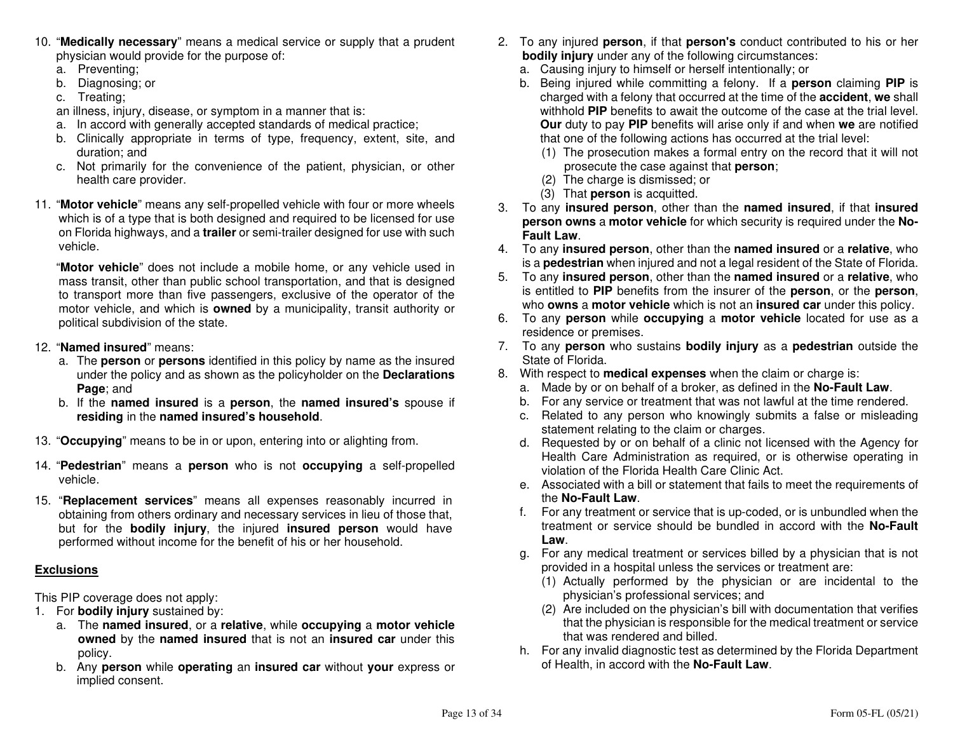- 10. "**Medically necessary**" means a medical service or supply that a prudent physician would provide for the purpose of:
	- a. Preventing;
- b. Diagnosing; or
	- c. Treating;
- an illness, injury, disease, or symptom in a manner that is:
- a. In accord with generally accepted standards of medical practice;
- b. Clinically appropriate in terms of type, frequency, extent, site, and duration; and
- c. Not primarily for the convenience of the patient, physician, or other health care provider.
- 11. "**Motor vehicle**" means any self-propelled vehicle with four or more wheels which is of a type that is both designed and required to be licensed for use on Florida highways, and a **trailer** or semi-trailer designed for use with such vehicle.

 "**Motor vehicle**" does not include a mobile home, or any vehicle used in mass transit, other than public school transportation, and that is designed to transport more than five passengers, exclusive of the operator of the motor vehicle, and which is **owned** by a municipality, transit authority or political subdivision of the state.

- 12. "**Named insured**" means:
- a. The **person** or **persons** identified in this policy by name as the insured under the policy and as shown as the policyholder on the **Declarations Page**; and
- b. If the **named insured** is a **person**, the **named insured's** spouse if **residing** in the **named insured's household**.
- 13. "**Occupying**" means to be in or upon, entering into or alighting from.
- 14. "**Pedestrian**" means a **person** who is not **occupying** a self-propelled vehicle.
- 15. "**Replacement services**" means all expenses reasonably incurred in obtaining from others ordinary and necessary services in lieu of those that, but for the **bodily injury**, the injured **insured person** would have performed without income for the benefit of his or her household.

# **Exclusions**

This PIP coverage does not apply:

- 1. For **bodily injury** sustained by:
- a. The **named insured**, or a **relative**, while **occupying** a **motor vehicle owned** by the **named insured** that is not an **insured car** under this policy.
- b. Any **person** while **operating** an **insured car** without **your** express or implied consent.
- 2. To any injured **person**, if that **person's** conduct contributed to his or her **bodily injury** under any of the following circumstances:
	- a. Causing injury to himself or herself intentionally; or
- b. Being injured while committing a felony. If a **person** claiming **PIP** is charged with a felony that occurred at the time of the **accident**, **we** shall withhold **PIP** benefits to await the outcome of the case at the trial level. **Our** duty to pay **PIP** benefits will arise only if and when **we** are notified that one of the following actions has occurred at the trial level:
- (1) The prosecution makes a formal entry on the record that it will not prosecute the case against that **person**;
	- (2) The charge is dismissed; or
	- (3) That **person** is acquitted.
- 3. To any **insured person**, other than the **named insured**, if that **insured person owns** a **motor vehicle** for which security is required under the **No-Fault Law**.
- 4. To any **insured person**, other than the **named insured** or a **relative**, who is a **pedestrian** when injured and not a legal resident of the State of Florida.
- 5. To any **insured person**, other than the **named insured** or a **relative**, who is entitled to **PIP** benefits from the insurer of the **person**, or the **person**, who **owns** a **motor vehicle** which is not an **insured car** under this policy.
- 6. To any **person** while **occupying** a **motor vehicle** located for use as a residence or premises.
- 7. To any **person** who sustains **bodily injury** as a **pedestrian** outside the State of Florida.
- 8. With respect to **medical expenses** when the claim or charge is:
- a. Made by or on behalf of a broker, as defined in the **No-Fault Law**.
- b. For any service or treatment that was not lawful at the time rendered.
- c. Related to any person who knowingly submits a false or misleading statement relating to the claim or charges.
- d. Requested by or on behalf of a clinic not licensed with the Agency for Health Care Administration as required, or is otherwise operating in violation of the Florida Health Care Clinic Act.
	- e. Associated with a bill or statement that fails to meet the requirements of the **No-Fault Law**.
- f. For any treatment or service that is up-coded, or is unbundled when the treatment or service should be bundled in accord with the **No-Fault Law**.
	- g. For any medical treatment or services billed by a physician that is not provided in a hospital unless the services or treatment are:
- (1) Actually performed by the physician or are incidental to the physician's professional services; and
- (2) Are included on the physician's bill with documentation that verifies that the physician is responsible for the medical treatment or service that was rendered and billed.
- h. For any invalid diagnostic test as determined by the Florida Department of Health, in accord with the **No-Fault Law**.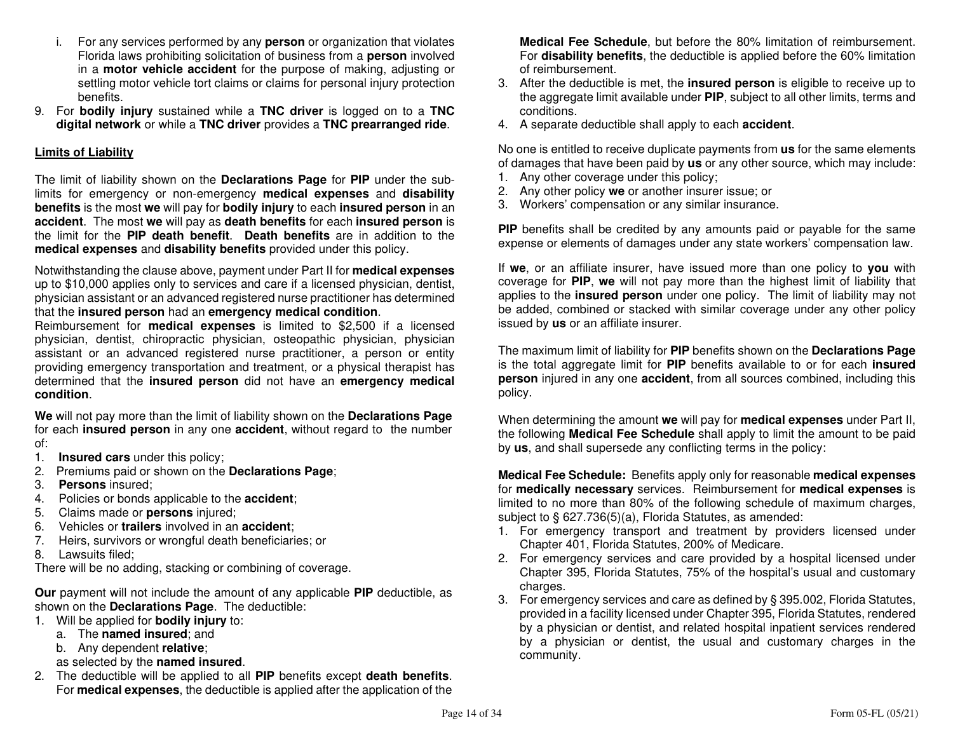- i. For any services performed by any **person** or organization that violates Florida laws prohibiting solicitation of business from a **person** involved in a **motor vehicle accident** for the purpose of making, adjusting or settling motor vehicle tort claims or claims for personal injury protection benefits.
- 9. For **bodily injury** sustained while a **TNC driver** is logged on to a **TNC digital network** or while a **TNC driver** provides a **TNC prearranged ride**.

# **Limits of Liability**

The limit of liability shown on the **Declarations Page** for **PIP** under the sublimits for emergency or non-emergency **medical expenses** and **disability benefits** is the most **we** will pay for **bodily injury** to each **insured person** in an **accident**. The most **we** will pay as **death benefits** for each **insured person** is the limit for the **PIP death benefit**. **Death benefits** are in addition to the **medical expenses** and **disability benefits** provided under this policy.

Notwithstanding the clause above, payment under Part II for **medical expenses** up to \$10,000 applies only to services and care if a licensed physician, dentist, physician assistant or an advanced registered nurse practitioner has determined that the **insured person** had an **emergency medical condition**.

 Reimbursement for **medical expenses** is limited to \$2,500 if a licensed physician, dentist, chiropractic physician, osteopathic physician, physician assistant or an advanced registered nurse practitioner, a person or entity providing emergency transportation and treatment, or a physical therapist has determined that the **insured person** did not have an **emergency medical condition**.

**We** will not pay more than the limit of liability shown on the **Declarations Page** for each **insured person** in any one **accident**, without regard to the number of:

- 1. **Insured cars** under this policy;
- 2. Premiums paid or shown on the **Declarations Page**;
- 3. **Persons** insured;
- 4. Policies or bonds applicable to the **accident**;
- 5. Claims made or **persons** injured;
- 6. Vehicles or **trailers** involved in an **accident**;
- 7. Heirs, survivors or wrongful death beneficiaries; or
- 8. Lawsuits filed;

There will be no adding, stacking or combining of coverage.

**Our** payment will not include the amount of any applicable **PIP** deductible, as shown on the **Declarations Page**. The deductible:

- 1. Will be applied for **bodily injury** to:
	- a. The **named insured**; and
	- b. Any dependent **relative**;
- as selected by the **named insured**.
- 2. The deductible will be applied to all **PIP** benefits except **death benefits**. For **medical expenses**, the deductible is applied after the application of the

**Medical Fee Schedule**, but before the 80% limitation of reimbursement. For **disability benefits**, the deductible is applied before the 60% limitation of reimbursement.

- 3. After the deductible is met, the **insured person** is eligible to receive up to the aggregate limit available under **PIP**, subject to all other limits, terms and conditions.
- 4. A separate deductible shall apply to each **accident**.

No one is entitled to receive duplicate payments from **us** for the same elements of damages that have been paid by **us** or any other source, which may include:

- 1. Any other coverage under this policy;
- 2. Any other policy **we** or another insurer issue; or
- 3. Workers' compensation or any similar insurance.

**PIP** benefits shall be credited by any amounts paid or payable for the same expense or elements of damages under any state workers' compensation law.

If **we**, or an affiliate insurer, have issued more than one policy to **you** with coverage for **PIP**, **we** will not pay more than the highest limit of liability that applies to the **insured person** under one policy. The limit of liability may not be added, combined or stacked with similar coverage under any other policy issued by **us** or an affiliate insurer.

The maximum limit of liability for **PIP** benefits shown on the **Declarations Page**  is the total aggregate limit for **PIP** benefits available to or for each **insured person** injured in any one **accident**, from all sources combined, including this policy.

When determining the amount **we** will pay for **medical expenses** under Part II, the following **Medical Fee Schedule** shall apply to limit the amount to be paid by **us**, and shall supersede any conflicting terms in the policy:

**Medical Fee Schedule:** Benefits apply only for reasonable **medical expenses** for **medically necessary** services. Reimbursement for **medical expenses** is limited to no more than 80% of the following schedule of maximum charges, subject to § 627.736(5)(a), Florida Statutes, as amended:

- 1. For emergency transport and treatment by providers licensed under Chapter 401, Florida Statutes, 200% of Medicare.
- 2. For emergency services and care provided by a hospital licensed under Chapter 395, Florida Statutes, 75% of the hospital's usual and customary charges.
- 3. For emergency services and care as defined by § 395.002, Florida Statutes, provided in a facility licensed under Chapter 395, Florida Statutes, rendered by a physician or dentist, and related hospital inpatient services rendered by a physician or dentist, the usual and customary charges in the community.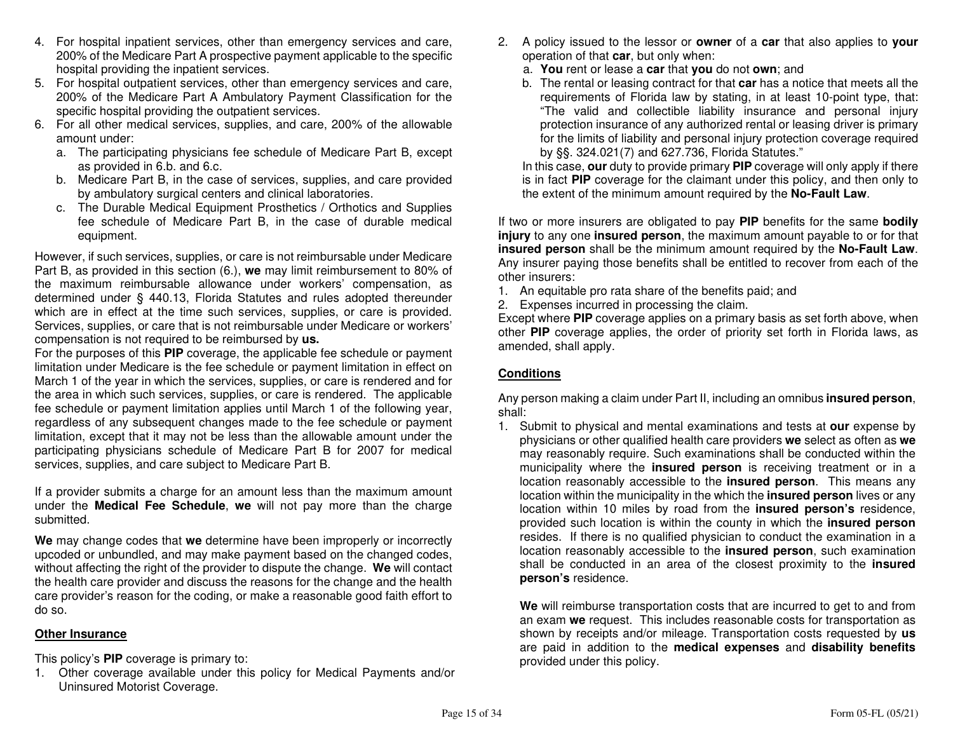- 4. For hospital inpatient services, other than emergency services and care, 200% of the Medicare Part A prospective payment applicable to the specific hospital providing the inpatient services.
- 5. For hospital outpatient services, other than emergency services and care, 200% of the Medicare Part A Ambulatory Payment Classification for the specific hospital providing the outpatient services.
- 6. For all other medical services, supplies, and care, 200% of the allowable amount under:
	- a. The participating physicians fee schedule of Medicare Part B, except as provided in 6.b. and 6.c.
	- b. Medicare Part B, in the case of services, supplies, and care provided by ambulatory surgical centers and clinical laboratories.
	- c. The Durable Medical Equipment Prosthetics / Orthotics and Supplies fee schedule of Medicare Part B, in the case of durable medical equipment.

However, if such services, supplies, or care is not reimbursable under Medicare Part B, as provided in this section (6.), **we** may limit reimbursement to 80% of the maximum reimbursable allowance under workers' compensation, as determined under § 440.13, Florida Statutes and rules adopted thereunder which are in effect at the time such services, supplies, or care is provided. Services, supplies, or care that is not reimbursable under Medicare or workers' compensation is not required to be reimbursed by **us.**

 For the purposes of this **PIP** coverage, the applicable fee schedule or payment limitation under Medicare is the fee schedule or payment limitation in effect on March 1 of the year in which the services, supplies, or care is rendered and for the area in which such services, supplies, or care is rendered. The applicable fee schedule or payment limitation applies until March 1 of the following year, regardless of any subsequent changes made to the fee schedule or payment limitation, except that it may not be less than the allowable amount under the participating physicians schedule of Medicare Part B for 2007 for medical services, supplies, and care subject to Medicare Part B.

If a provider submits a charge for an amount less than the maximum amount under the **Medical Fee Schedule**, **we** will not pay more than the charge submitted.

**We** may change codes that **we** determine have been improperly or incorrectly upcoded or unbundled, and may make payment based on the changed codes, without affecting the right of the provider to dispute the change. **We** will contact the health care provider and discuss the reasons for the change and the health care provider's reason for the coding, or make a reasonable good faith effort to do so.

# **Other Insurance**

This policy's **PIP** coverage is primary to:

 1. Other coverage available under this policy for Medical Payments and/or Uninsured Motorist Coverage.

- 2. A policy issued to the lessor or **owner** of a **car** that also applies to **your** operation of that **car**, but only when:
- a. **You** rent or lease a **car** that **you** do not **own**; and
- b. The rental or leasing contract for that **car** has a notice that meets all the requirements of Florida law by stating, in at least 10-point type, that: "The valid and collectible liability insurance and personal injury protection insurance of any authorized rental or leasing driver is primary for the limits of liability and personal injury protection coverage required by §§. 324.021(7) and 627.736, Florida Statutes."

 In this case, **our** duty to provide primary **PIP** coverage will only apply if there is in fact **PIP** coverage for the claimant under this policy, and then only to the extent of the minimum amount required by the **No-Fault Law**.

If two or more insurers are obligated to pay **PIP** benefits for the same **bodily injury** to any one **insured person**, the maximum amount payable to or for that **insured person** shall be the minimum amount required by the **No-Fault Law**. Any insurer paying those benefits shall be entitled to recover from each of the other insurers:

- 1. An equitable pro rata share of the benefits paid; and
- 2. Expenses incurred in processing the claim.

 Except where **PIP** coverage applies on a primary basis as set forth above, when other **PIP** coverage applies, the order of priority set forth in Florida laws, as amended, shall apply.

# **Conditions**

Any person making a claim under Part II, including an omnibus **insured person**, shall:

 1. Submit to physical and mental examinations and tests at **our** expense by physicians or other qualified health care providers **we** select as often as **we** may reasonably require. Such examinations shall be conducted within the municipality where the **insured person** is receiving treatment or in a location reasonably accessible to the **insured person**. This means any location within the municipality in the which the **insured person** lives or any location within 10 miles by road from the **insured person's** residence, provided such location is within the county in which the **insured person** resides. If there is no qualified physician to conduct the examination in a location reasonably accessible to the **insured person**, such examination shall be conducted in an area of the closest proximity to the **insured person's** residence.

**We** will reimburse transportation costs that are incurred to get to and from an exam **we** request. This includes reasonable costs for transportation as shown by receipts and/or mileage. Transportation costs requested by **us** are paid in addition to the **medical expenses** and **disability benefits**provided under this policy.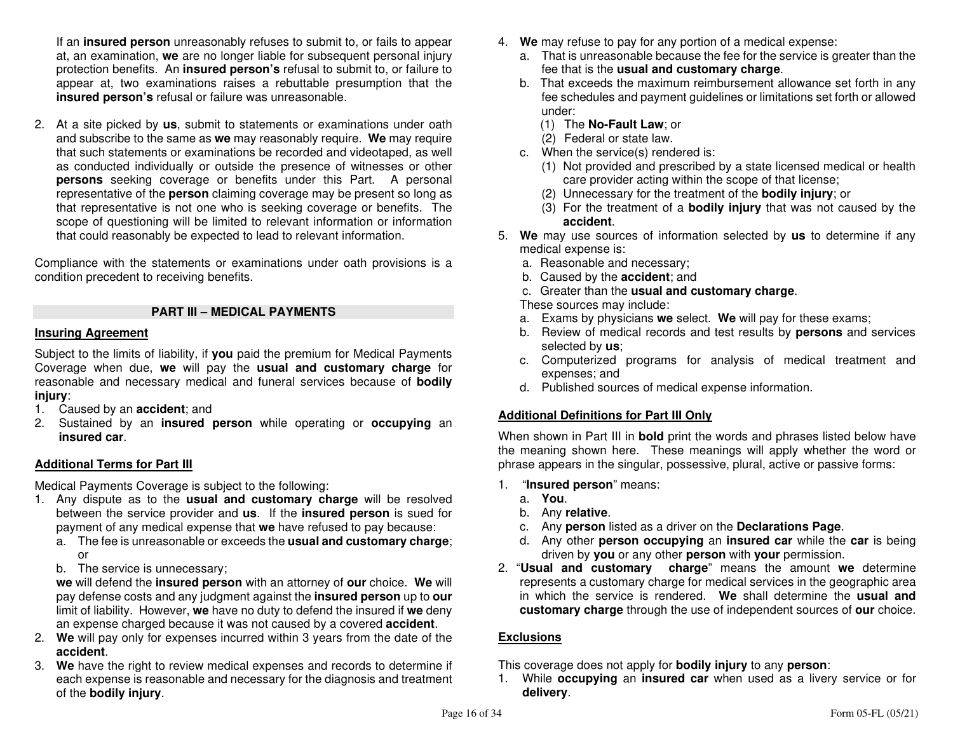If an **insured person** unreasonably refuses to submit to, or fails to appear at, an examination, **we** are no longer liable for subsequent personal injury protection benefits. An **insured person's** refusal to submit to, or failure to appear at, two examinations raises a rebuttable presumption that the **insured person's** refusal or failure was unreasonable.

2. At a site picked by **us**, submit to statements or examinations under oath and subscribe to the same as **we** may reasonably require. **We** may require that such statements or examinations be recorded and videotaped, as well as conducted individually or outside the presence of witnesses or other **persons** seeking coverage or benefits under this Part. A personal representative of the **person** claiming coverage may be present so long as that representative is not one who is seeking coverage or benefits. The scope of questioning will be limited to relevant information or information that could reasonably be expected to lead to relevant information.

Compliance with the statements or examinations under oath provisions is a condition precedent to receiving benefits.

# **PART III – MEDICAL PAYMENTS**

#### **Insuring Agreement**

Subject to the limits of liability, if **you** paid the premium for Medical Payments Coverage when due, **we** will pay the **usual and customary charge** for reasonable and necessary medical and funeral services because of **bodily injury**:

- 1. Caused by an **accident**; and
- 2. Sustained by an **insured person** while operating or **occupying** an**insured car**.

# **Additional Terms for Part III**

Medical Payments Coverage is subject to the following:

- 1. Any dispute as to the **usual and customary charge** will be resolved between the service provider and **us**. If the **insured person** is sued for payment of any medical expense that **we** have refused to pay because:
	- a. The fee is unreasonable or exceeds the **usual and customary charge**; or
	- b. The service is unnecessary;

 **we** will defend the **insured person** with an attorney of **our** choice. **We** will pay defense costs and any judgment against the **insured person** up to **our**  limit of liability. However, **we** have no duty to defend the insured if **we** deny an expense charged because it was not caused by a covered **accident**.

- 2. **We** will pay only for expenses incurred within 3 years from the date of the **accident**.
- 3. **We** have the right to review medical expenses and records to determine if each expense is reasonable and necessary for the diagnosis and treatment of the **bodily injury**.
- 4. **We** may refuse to pay for any portion of a medical expense:
	- a. That is unreasonable because the fee for the service is greater than the fee that is the **usual and customary charge**.
	- b. That exceeds the maximum reimbursement allowance set forth in any fee schedules and payment guidelines or limitations set forth or allowed under:
	- (1) The **No-Fault Law**; or
		- (2) Federal or state law.
	- c. When the service(s) rendered is:
	- (1) Not provided and prescribed by a state licensed medical or health care provider acting within the scope of that license;
- (2) Unnecessary for the treatment of the **bodily injury**; or
- (3) For the treatment of a **bodily injury** that was not caused by the **accident**.
- 5. **We** may use sources of information selected by **us** to determine if any medical expense is:
- a. Reasonable and necessary;
- b. Caused by the **accident**; and
- c. Greater than the **usual and customary charge**.

These sources may include:

- a. Exams by physicians **we** select. **We** will pay for these exams;
- b. Review of medical records and test results by **persons** and services selected by **us**;
- c. Computerized programs for analysis of medical treatment and expenses; and
- d. Published sources of medical expense information.

# **Additional Definitions for Part III Only**

When shown in Part III in **bold** print the words and phrases listed below have the meaning shown here. These meanings will apply whether the word or phrase appears in the singular, possessive, plural, active or passive forms:

- 1. "**Insured person**" means:
	- a. **You**.
- b. Any **relative**.
- c. Any **person** listed as a driver on the **Declarations Page**.
- d. Any other **person occupying** an **insured car** while the **car** is being driven by **you** or any other **person** with **your** permission.
- 2. "**Usual and customary charge**" means the amount **we** determine represents a customary charge for medical services in the geographic area in which the service is rendered. **We** shall determine the **usual and customary charge** through the use of independent sources of **our** choice.

# **Exclusions**

This coverage does not apply for **bodily injury** to any **person**:

 1. While **occupying** an **insured car** when used as a livery service or for **delivery**.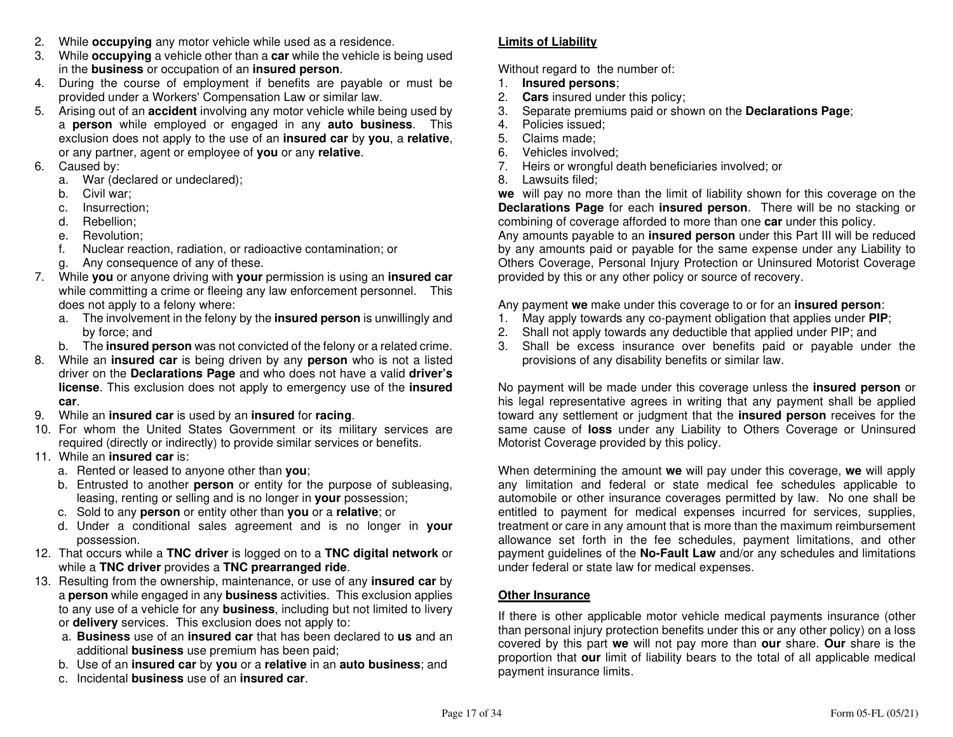- 2. While **occupying** any motor vehicle while used as a residence.
- 3. While **occupying** a vehicle other than a **car** while the vehicle is being used in the **business** or occupation of an **insured person**.
- 4. During the course of employment if benefits are payable or must be provided under a Workers' Compensation Law or similar law.
- 5. Arising out of an **accident** involving any motor vehicle while being used by a **person** while employed or engaged in any **auto business**. This exclusion does not apply to the use of an **insured car** by **you**, a **relative**, or any partner, agent or employee of **you** or any **relative**.
- 6. Caused by:
- a. War (declared or undeclared);
	- b. Civil war;
- c. Insurrection;
	- d. Rebellion;
- e. Revolution;
- f. Nuclear reaction, radiation, or radioactive contamination; or
	- g. Any consequence of any of these.
- 7. While **you** or anyone driving with **your** permission is using an **insured car** while committing a crime or fleeing any law enforcement personnel. This does not apply to a felony where:
- a. The involvement in the felony by the **insured person** is unwillingly and by force; and
- b. The **insured person** was not convicted of the felony or a related crime.
- 8. While an **insured car** is being driven by any **person** who is not a listed driver on the **Declarations Page** and who does not have a valid **driver's license**. This exclusion does not apply to emergency use of the **insured car**.
- 9. While an **insured car** is used by an **insured** for **racing**.
- 10. For whom the United States Government or its military services are required (directly or indirectly) to provide similar services or benefits.
- 11. While an **insured car** is:
- a. Rented or leased to anyone other than **you**;
- b. Entrusted to another **person** or entity for the purpose of subleasing, leasing, renting or selling and is no longer in **your** possession;
	- c. Sold to any **person** or entity other than **you** or a **relative**; or
- d. Under a conditional sales agreement and is no longer in **your** possession.
- 12. That occurs while a **TNC driver** is logged on to a **TNC digital network** or while a **TNC driver** provides a **TNC prearranged ride**.
- 13. Resulting from the ownership, maintenance, or use of any **insured car** by a **person** while engaged in any **business** activities. This exclusion applies to any use of a vehicle for any **business**, including but not limited to livery or **delivery** services. This exclusion does not apply to:
	- a. **Business** use of an **insured car** that has been declared to **us** and an additional **business** use premium has been paid;
- b. Use of an **insured car** by **you** or a **relative** in an **auto business**; and
	- c. Incidental **business** use of an **insured car**.

# **Limits of Liability**

Without regard to the number of:

- 1. **Insured persons**;
- 2. **Cars** insured under this policy;
- 3. Separate premiums paid or shown on the **Declarations Page**;
- 4. Policies issued;
- 5. Claims made;
- 6. Vehicles involved;
- 7. Heirs or wrongful death beneficiaries involved; or
- 8. Lawsuits filed;

 **we** will pay no more than the limit of liability shown for this coverage on the **Declarations Page** for each **insured person**. There will be no stacking or combining of coverage afforded to more than one **car** under this policy. Any amounts payable to an **insured person** under this Part III will be reduced by any amounts paid or payable for the same expense under any Liability to Others Coverage, Personal Injury Protection or Uninsured Motorist Coverage provided by this or any other policy or source of recovery.

Any payment **we** make under this coverage to or for an **insured person**:

- 1. May apply towards any co-payment obligation that applies under **PIP**;
- 2. Shall not apply towards any deductible that applied under PIP; and
- 3. Shall be excess insurance over benefits paid or payable under the provisions of any disability benefits or similar law.

No payment will be made under this coverage unless the **insured person** or his legal representative agrees in writing that any payment shall be applied toward any settlement or judgment that the **insured person** receives for the same cause of **loss** under any Liability to Others Coverage or Uninsured Motorist Coverage provided by this policy.

When determining the amount **we** will pay under this coverage, **we** will apply any limitation and federal or state medical fee schedules applicable to automobile or other insurance coverages permitted by law. No one shall be entitled to payment for medical expenses incurred for services, supplies, treatment or care in any amount that is more than the maximum reimbursement allowance set forth in the fee schedules, payment limitations, and other payment guidelines of the **No-Fault Law** and/or any schedules and limitations under federal or state law for medical expenses.

# **Other Insurance**

If there is other applicable motor vehicle medical payments insurance (other than personal injury protection benefits under this or any other policy) on a loss covered by this part **we** will not pay more than **our** share. **Our** share is the proportion that **our** limit of liability bears to the total of all applicable medical payment insurance limits.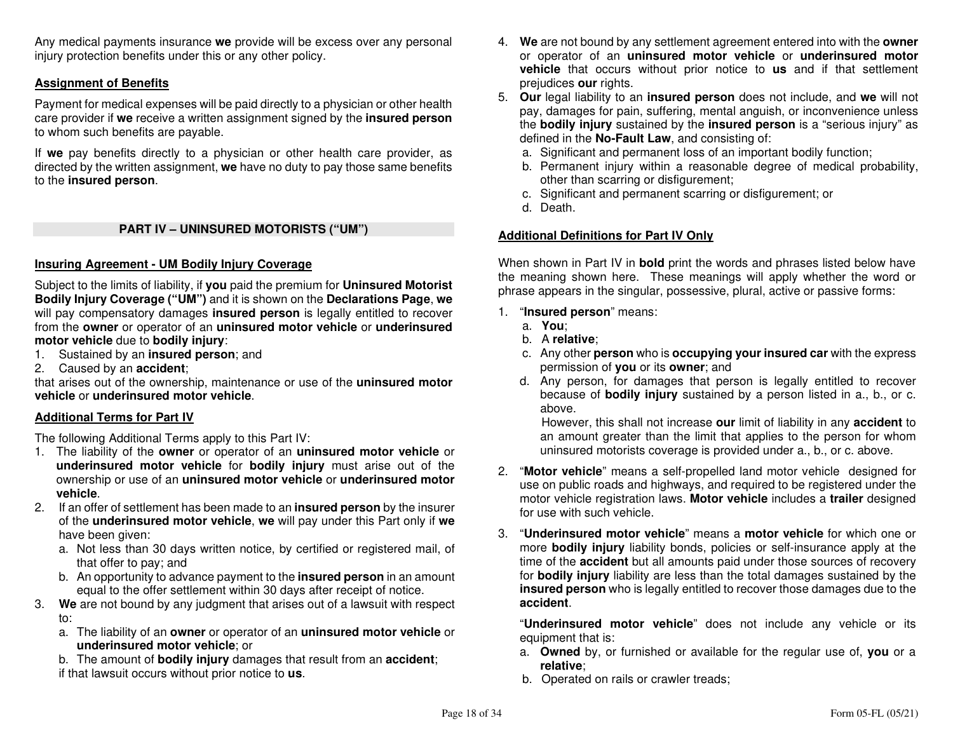Any medical payments insurance **we** provide will be excess over any personal injury protection benefits under this or any other policy.

# **Assignment of Benefits**

Payment for medical expenses will be paid directly to a physician or other health care provider if **we** receive a written assignment signed by the **insured person**to whom such benefits are payable.

If **we** pay benefits directly to a physician or other health care provider, as directed by the written assignment, **we** have no duty to pay those same benefits to the **insured person**.

#### **PART IV – UNINSURED MOTORISTS ("UM")**

# **Insuring Agreement - UM Bodily Injury Coverage**

Subject to the limits of liability, if **you** paid the premium for **Uninsured Motorist Bodily Injury Coverage ("UM")** and it is shown on the **Declarations Page**, **we** will pay compensatory damages **insured person** is legally entitled to recover from the **owner** or operator of an **uninsured motor vehicle** or **underinsured motor vehicle** due to **bodily injury**:

- 1. Sustained by an **insured person**; and
- 2. Caused by an **accident**;

 that arises out of the ownership, maintenance or use of the **uninsured motor vehicle** or **underinsured motor vehicle**.

#### **Additional Terms for Part IV**

The following Additional Terms apply to this Part IV:

- 1. The liability of the **owner** or operator of an **uninsured motor vehicle** or **underinsured motor vehicle** for **bodily injury** must arise out of the ownership or use of an **uninsured motor vehicle** or **underinsured motor vehicle**.
- 2. If an offer of settlement has been made to an **insured person** by the insurer of the **underinsured motor vehicle**, **we** will pay under this Part only if **we**have been given:
	- a. Not less than 30 days written notice, by certified or registered mail, of that offer to pay; and
	- b. An opportunity to advance payment to the **insured person** in an amount equal to the offer settlement within 30 days after receipt of notice.
- 3. **We** are not bound by any judgment that arises out of a lawsuit with respect to:
- a. The liability of an **owner** or operator of an **uninsured motor vehicle** or **underinsured motor vehicle**; or
- b. The amount of **bodily injury** damages that result from an **accident**;if that lawsuit occurs without prior notice to **us**.
- 4. **We** are not bound by any settlement agreement entered into with the **owner** or operator of an **uninsured motor vehicle** or **underinsured motor vehicle** that occurs without prior notice to **us** and if that settlement prejudices **our** rights.
- 5. **Our** legal liability to an **insured person** does not include, and **we** will not pay, damages for pain, suffering, mental anguish, or inconvenience unless the **bodily injury** sustained by the **insured person** is a "serious injury" as defined in the **No-Fault Law**, and consisting of:
- a. Significant and permanent loss of an important bodily function;
- b. Permanent injury within a reasonable degree of medical probability, other than scarring or disfigurement;
- c. Significant and permanent scarring or disfigurement; or
	- d. Death.

# **Additional Definitions for Part IV Only**

When shown in Part IV in **bold** print the words and phrases listed below have the meaning shown here. These meanings will apply whether the word or phrase appears in the singular, possessive, plural, active or passive forms:

- 1. "**Insured person**" means:
	- a. **You**;
- b. A **relative**;
- c. Any other **person** who is **occupying your insured car** with the express permission of **you** or its **owner**; and
	- d. Any person, for damages that person is legally entitled to recover because of **bodily injury** sustained by a person listed in a., b., or c. above.

 However, this shall not increase **our** limit of liability in any **accident** to an amount greater than the limit that applies to the person for whom uninsured motorists coverage is provided under a., b., or c. above.

- 2. "**Motor vehicle**" means a self-propelled land motor vehicle designed for use on public roads and highways, and required to be registered under the motor vehicle registration laws. **Motor vehicle** includes a **trailer** designed for use with such vehicle.
- 3. "**Underinsured motor vehicle**" means a **motor vehicle** for which one or more **bodily injury** liability bonds, policies or self-insurance apply at the time of the **accident** but all amounts paid under those sources of recovery for **bodily injury** liability are less than the total damages sustained by the **insured person** who is legally entitled to recover those damages due to the **accident**.

"**Underinsured motor vehicle**" does not include any vehicle or its equipment that is:

- a. **Owned** by, or furnished or available for the regular use of, **you** or a **relative**;
- b. Operated on rails or crawler treads;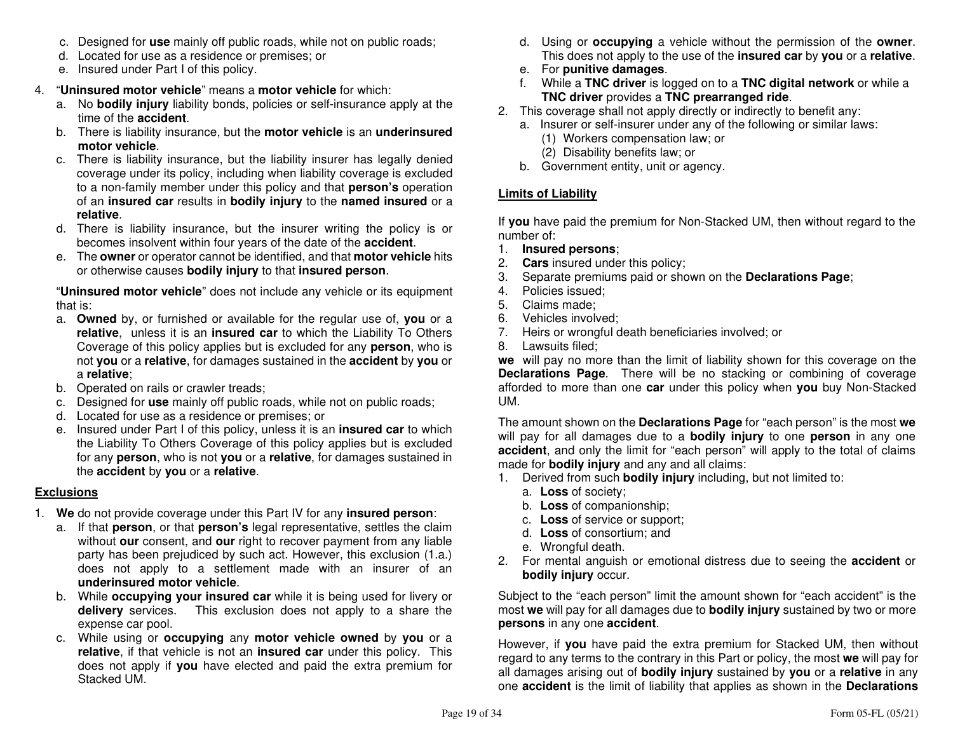- c. Designed for **use** mainly off public roads, while not on public roads;
- d. Located for use as a residence or premises; or
- e. Insured under Part I of this policy.
- 4. "**Uninsured motor vehicle**" means a **motor vehicle** for which:
- a. No **bodily injury** liability bonds, policies or self-insurance apply at the time of the **accident**.
- b. There is liability insurance, but the **motor vehicle** is an **underinsured motor vehicle**.
- c. There is liability insurance, but the liability insurer has legally denied coverage under its policy, including when liability coverage is excluded to a non-family member under this policy and that **person's** operation of an **insured car** results in **bodily injury** to the **named insured** or a **relative**.
- d. There is liability insurance, but the insurer writing the policy is or becomes insolvent within four years of the date of the **accident**.
- e. The **owner** or operator cannot be identified, and that **motor vehicle** hits or otherwise causes **bodily injury** to that **insured person**.

 "**Uninsured motor vehicle**" does not include any vehicle or its equipment that is:

- a. **Owned** by, or furnished or available for the regular use of, **you** or a **relative**, unless it is an **insured car** to which the Liability To Others Coverage of this policy applies but is excluded for any **person**, who is not **you** or a **relative**, for damages sustained in the **accident** by **you** or a **relative**;
- b. Operated on rails or crawler treads;
- c. Designed for **use** mainly off public roads, while not on public roads;
	- d. Located for use as a residence or premises; or
- e. Insured under Part I of this policy, unless it is an **insured car** to which the Liability To Others Coverage of this policy applies but is excluded for any **person**, who is not **you** or a **relative**, for damages sustained in the **accident** by **you** or a **relative**.

# **Exclusions**

- 1. **We** do not provide coverage under this Part IV for any **insured person**:
	- a. If that **person**, or that **person's** legal representative, settles the claim without **our** consent, and **our** right to recover payment from any liable party has been prejudiced by such act. However, this exclusion (1.a.) does not apply to a settlement made with an insurer of an **underinsured motor vehicle**.
- b. While **occupying your insured car** while it is being used for livery or **delivery** services. This exclusion does not apply to a share the expense car pool.
- c. While using or **occupying** any **motor vehicle owned** by **you** or a **relative**, if that vehicle is not an **insured car** under this policy. This does not apply if **you** have elected and paid the extra premium for Stacked UM.
- d. Using or **occupying** a vehicle without the permission of the **owner**. This does not apply to the use of the **insured car** by **you** or a **relative**.
- e. For **punitive damages**.
	- f. While a **TNC driver** is logged on to a **TNC digital network** or while a **TNC driver** provides a **TNC prearranged ride**.
- 2. This coverage shall not apply directly or indirectly to benefit any:
	- a. Insurer or self-insurer under any of the following or similar laws:
		- (1) Workers compensation law; or
		- (2) Disability benefits law; or
- b. Government entity, unit or agency.

# **Limits of Liability**

If **you** have paid the premium for Non-Stacked UM, then without regard to the number of:

- 1. **Insured persons**;
- 2. **Cars** insured under this policy;
- 3. Separate premiums paid or shown on the **Declarations Page**;
- 4. Policies issued;
- 5. Claims made;
- 6. Vehicles involved;
- 7. Heirs or wrongful death beneficiaries involved; or
- 8. Lawsuits filed;

 **we** will pay no more than the limit of liability shown for this coverage on the **Declarations Page**. There will be no stacking or combining of coverage afforded to more than one **car** under this policy when **you** buy Non-Stacked UM.

The amount shown on the **Declarations Page** for "each person" is the most **we** will pay for all damages due to a **bodily injury** to one **person** in any one **accident**, and only the limit for "each person" will apply to the total of claims made for **bodily injury** and any and all claims:

- 1. Derived from such **bodily injury** including, but not limited to:
	- a. **Loss** of society;
	- b. **Loss** of companionship;
- c. **Loss** of service or support;
	- d. **Loss** of consortium; and
	- e. Wrongful death.
- 2. For mental anguish or emotional distress due to seeing the **accident** or **bodily injury** occur.

Subject to the "each person" limit the amount shown for "each accident" is the most **we** will pay for all damages due to **bodily injury** sustained by two or more **persons** in any one **accident**.

However, if **you** have paid the extra premium for Stacked UM, then without regard to any terms to the contrary in this Part or policy, the most **we** will pay for all damages arising out of **bodily injury** sustained by **you** or a **relative** in any one **accident** is the limit of liability that applies as shown in the **Declarations**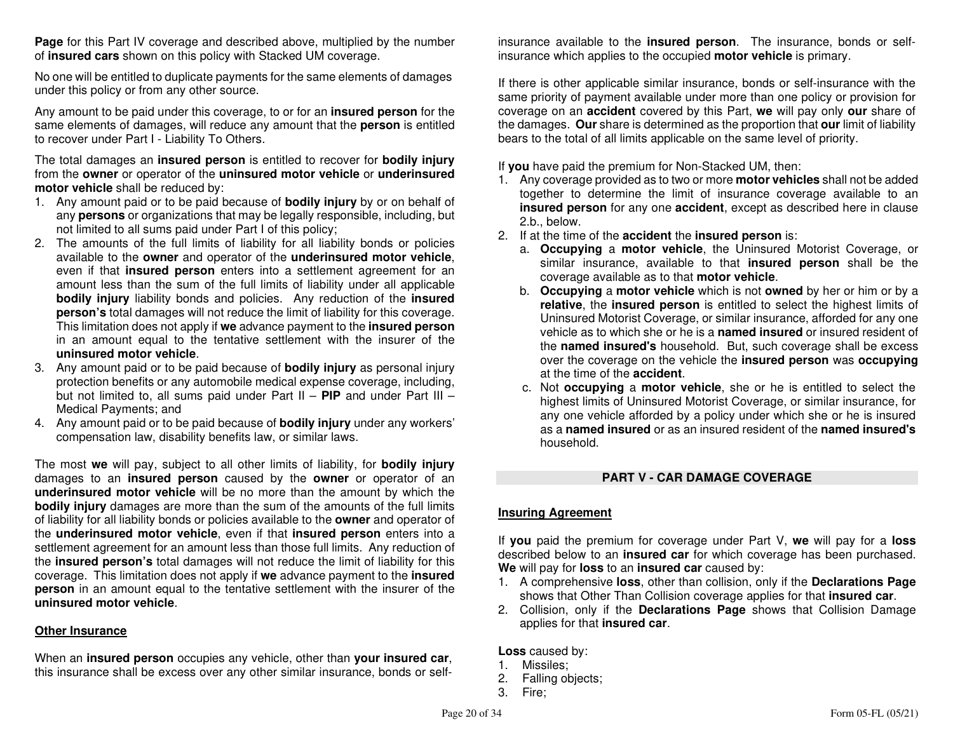**Page** for this Part IV coverage and described above, multiplied by the number of **insured cars** shown on this policy with Stacked UM coverage.

No one will be entitled to duplicate payments for the same elements of damages under this policy or from any other source.

Any amount to be paid under this coverage, to or for an **insured person** for the same elements of damages, will reduce any amount that the **person** is entitled to recover under Part I - Liability To Others.

The total damages an **insured person** is entitled to recover for **bodily injury** from the **owner** or operator of the **uninsured motor vehicle** or **underinsured motor vehicle** shall be reduced by:

- 1. Any amount paid or to be paid because of **bodily injury** by or on behalf of any **persons** or organizations that may be legally responsible, including, but not limited to all sums paid under Part I of this policy;
- 2. The amounts of the full limits of liability for all liability bonds or policies available to the **owner** and operator of the **underinsured motor vehicle**, even if that **insured person** enters into a settlement agreement for an amount less than the sum of the full limits of liability under all applicable **bodily injury** liability bonds and policies. Any reduction of the **insured person's** total damages will not reduce the limit of liability for this coverage. This limitation does not apply if **we** advance payment to the **insured person** in an amount equal to the tentative settlement with the insurer of the **uninsured motor vehicle**.
- 3. Any amount paid or to be paid because of **bodily injury** as personal injury protection benefits or any automobile medical expense coverage, including, but not limited to, all sums paid under Part II – **PIP** and under Part III – Medical Payments; and
- 4. Any amount paid or to be paid because of **bodily injury** under any workers' compensation law, disability benefits law, or similar laws.

The most **we** will pay, subject to all other limits of liability, for **bodily injury** damages to an **insured person** caused by the **owner** or operator of an **underinsured motor vehicle** will be no more than the amount by which the **bodily injury** damages are more than the sum of the amounts of the full limits of liability for all liability bonds or policies available to the **owner** and operator of the **underinsured motor vehicle**, even if that **insured person** enters into a settlement agreement for an amount less than those full limits. Any reduction of the **insured person's** total damages will not reduce the limit of liability for this coverage. This limitation does not apply if **we** advance payment to the **insured person** in an amount equal to the tentative settlement with the insurer of the **uninsured motor vehicle**.

#### **Other Insurance**

When an **insured person** occupies any vehicle, other than **your insured car**, this insurance shall be excess over any other similar insurance, bonds or selfinsurance available to the **insured person**. The insurance, bonds or self-

insurance which applies to the occupied **motor vehicle** is primary.<br>If there is other applicable similar insurance, bonds or self-insurance with the<br>same priority of payment available under more than one policy or provisio

- 1. Any coverage provided as to two or more **motor vehicles** shall not be added together to determine the limit of insurance coverage available to an **insured person** for any one **accident**, except as described here in clause 2.b., below.
- 2. If at the time of the **accident** the **insured person** is:
	- a. Occupying a motor vehicle, the Uninsured Motorist Coverage, or similar insurance, available to that insured person shall be the coverage available as to that motor vehicle.<br>b. Occupying a motor vehicle which is not owne
	- relative, the insured person is entitled to select the highest limits of Uninsured Motorist Coverage, or similar insurance, afforded for any one vehicle as to which she or he is a **named insured** or insured resident of the **named insured's** household. But, such coverage shall be excess over the
	- at the time of the **accident**.<br>
	c. Not **occupying** a **motor vehicle**, she or he is entitled to select the<br>
	highest limits of Uninsured Motorist Coverage, or similar insurance, for<br>
	any one vehicle afforded by a policy unde household.

# **PART V - CAR DAMAGE COVERAGE Insuring Agreement**

If **you** paid the premium for coverage under Part V, **we** will pay for a **loss**described below to an **insured car** for which coverage has been purchased.

- **We** will pay for **loss** to an **insured car** caused by: 1. A comprehensive **loss**, other than collision, only if the **Declarations Page**
- shows that Other Than Collision coverage applies for that **insured car**. 2. Collision, only if the **Declarations Page** shows that Collision Damage applies for that **insured car**.

- 
- **Loss** caused by:<br>1. Missiles;<br>2. Falling objects;
- 3. Fire;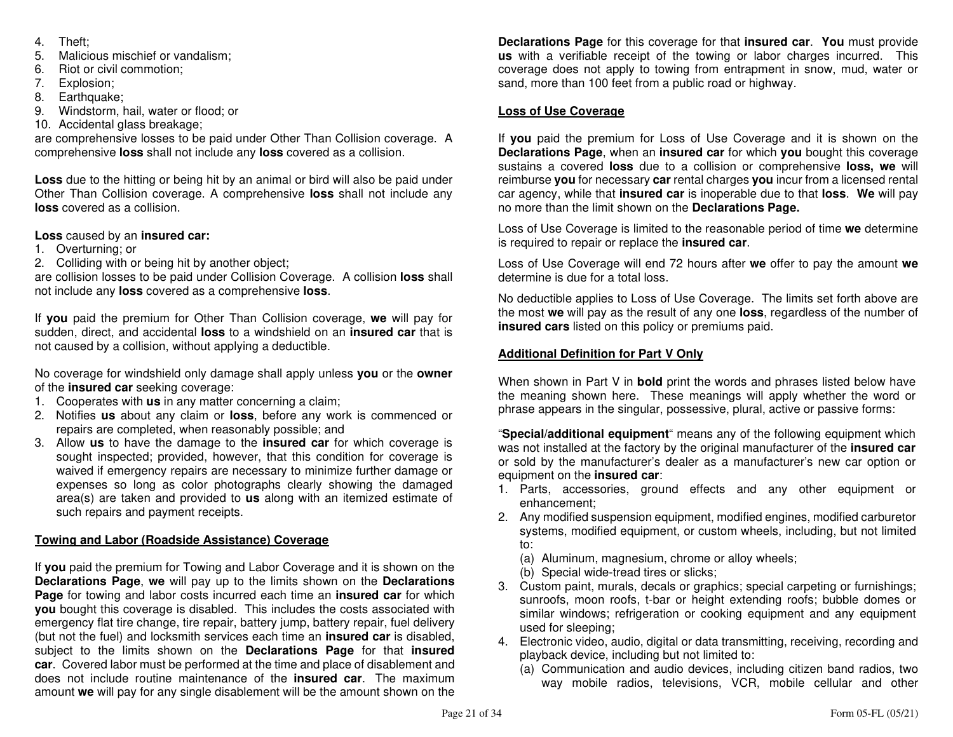- 4. Theft;
- 5. Malicious mischief or vandalism;
- 6. Riot or civil commotion;
- 7. Explosion;
- 8. Earthquake;
- 9. Windstorm, hail, water or flood; or
- 10. Accidental glass breakage;

 are comprehensive losses to be paid under Other Than Collision coverage. A comprehensive **loss** shall not include any **loss** covered as a collision.

**Loss** due to the hitting or being hit by an animal or bird will also be paid under Other Than Collision coverage. A comprehensive **loss** shall not include any **loss** covered as a collision.

# **Loss** caused by an **insured car:**

- 1. Overturning; or
- 2. Colliding with or being hit by another object;

 are collision losses to be paid under Collision Coverage. A collision **loss** shall not include any **loss** covered as a comprehensive **loss**.

If **you** paid the premium for Other Than Collision coverage, **we** will pay for sudden, direct, and accidental **loss** to a windshield on an **insured car** that is not caused by a collision, without applying a deductible.

No coverage for windshield only damage shall apply unless **you** or the **owner**of the **insured car** seeking coverage:

- 1. Cooperates with **us** in any matter concerning a claim;
- 2. Notifies **us** about any claim or **loss**, before any work is commenced or repairs are completed, when reasonably possible; and
- 3. Allow **us** to have the damage to the **insured car** for which coverage is sought inspected; provided, however, that this condition for coverage is waived if emergency repairs are necessary to minimize further damage or expenses so long as color photographs clearly showing the damaged area(s) are taken and provided to **us** along with an itemized estimate of such repairs and payment receipts.

# **Towing and Labor (Roadside Assistance) Coverage**

If **you** paid the premium for Towing and Labor Coverage and it is shown on the **Declarations Page**, **we** will pay up to the limits shown on the **Declarations Page** for towing and labor costs incurred each time an **insured car** for which **you** bought this coverage is disabled. This includes the costs associated with emergency flat tire change, tire repair, battery jump, battery repair, fuel delivery (but not the fuel) and locksmith services each time an **insured car** is disabled, subject to the limits shown on the **Declarations Page** for that **insured car**. Covered labor must be performed at the time and place of disablement and does not include routine maintenance of the **insured car**. The maximum amount **we** will pay for any single disablement will be the amount shown on the

**Declarations Page** for this coverage for that **insured car**. **You** must provide **us** with a verifiable receipt of the towing or labor charges incurred. This coverage does not apply to towing from entrapment in snow, mud, water or sand, more than 100 feet from a public road or highway.

# **Loss of Use Coverage**

If **you** paid the premium for Loss of Use Coverage and it is shown on the **Declarations Page**, when an **insured car** for which **you** bought this coverage sustains a covered **loss** due to a collision or comprehensive **loss, we** will reimburse **you** for necessary **car** rental charges **you** incur from a licensed rental car agency, while that **insured car** is inoperable due to that **loss**. **We** will pay no more than the limit shown on the **Declarations Page.**

Loss of Use Coverage is limited to the reasonable period of time **we** determine is required to repair or replace the **insured car**.

Loss of Use Coverage will end 72 hours after **we** offer to pay the amount **we**determine is due for a total loss.

No deductible applies to Loss of Use Coverage. The limits set forth above are the most **we** will pay as the result of any one **loss**, regardless of the number of **insured cars** listed on this policy or premiums paid.

# **Additional Definition for Part V Only**

When shown in Part V in **bold** print the words and phrases listed below have the meaning shown here. These meanings will apply whether the word or phrase appears in the singular, possessive, plural, active or passive forms:

"**Special/additional equipment**" means any of the following equipment which was not installed at the factory by the original manufacturer of the **insured car**  or sold by the manufacturer's dealer as a manufacturer's new car option or equipment on the **insured car**:

- 1. Parts, accessories, ground effects and any other equipment or enhancement;
- 2. Any modified suspension equipment, modified engines, modified carburetor systems, modified equipment, or custom wheels, including, but not limited to:
- (a) Aluminum, magnesium, chrome or alloy wheels;
	- (b) Special wide-tread tires or slicks;
- 3. Custom paint, murals, decals or graphics; special carpeting or furnishings; sunroofs, moon roofs, t-bar or height extending roofs; bubble domes or similar windows; refrigeration or cooking equipment and any equipment used for sleeping;
- 4. Electronic video, audio, digital or data transmitting, receiving, recording and playback device, including but not limited to:
	- (a) Communication and audio devices, including citizen band radios, two way mobile radios, televisions, VCR, mobile cellular and other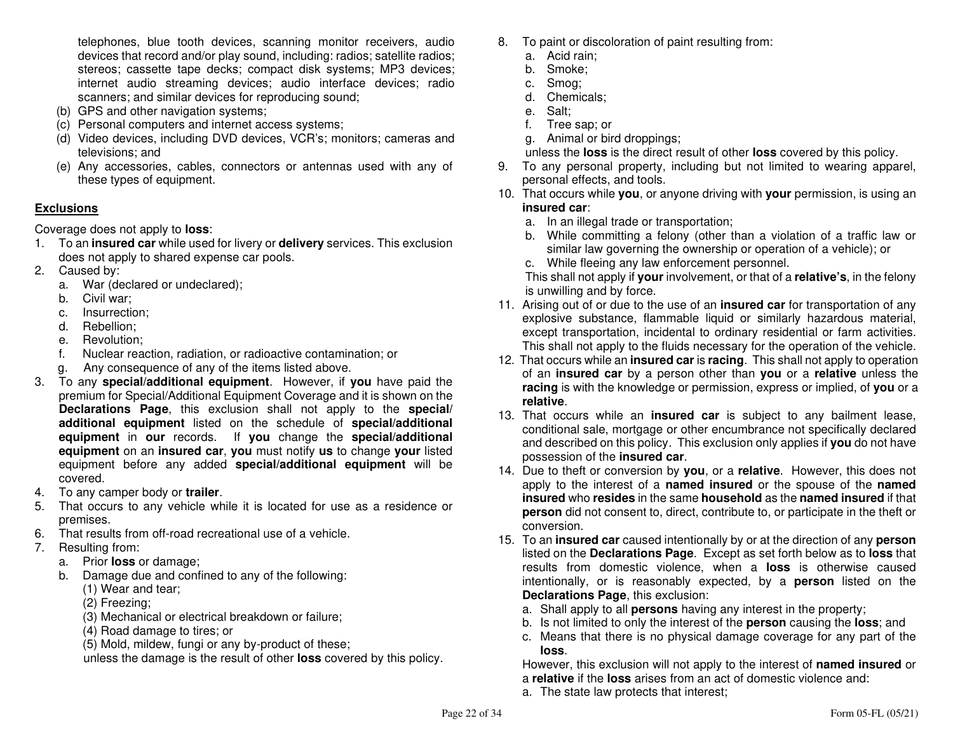telephones, blue tooth devices, scanning monitor receivers, audio devices that record and/or play sound, including: radios; satellite radios; stereos; cassette tape decks; compact disk systems; MP3 devices; internet audio streaming devices; audio interface devices; radio scanners; and similar devices for reproducing sound;

- (b) GPS and other navigation systems;
- (c) Personal computers and internet access systems;
- (d) Video devices, including DVD devices, VCR's; monitors; cameras and televisions; and
- (e) Any accessories, cables, connectors or antennas used with any of these types of equipment.

# **Exclusions**

Coverage does not apply to **loss**:

- 1. To an **insured car** while used for livery or **delivery** services. This exclusion does not apply to shared expense car pools.
- 2. Caused by:
- a. War (declared or undeclared);
	- b. Civil war;
- c. Insurrection;
	- d. Rebellion;
- e. Revolution;
- f. Nuclear reaction, radiation, or radioactive contamination; or
	- g. Any consequence of any of the items listed above.
- 3. To any **special/additional equipment**. However, if **you** have paid the premium for Special/Additional Equipment Coverage and it is shown on the **Declarations Page**, this exclusion shall not apply to the **special/ additional equipment** listed on the schedule of **special/additional equipment** in **our** records. If **you** change the **special/additional equipment** on an **insured car**, **you** must notify **us** to change **your** listed equipment before any added **special/additional equipment** will be covered.
- 4. To any camper body or **trailer**.
- 5. That occurs to any vehicle while it is located for use as a residence or premises.
- 6. That results from off-road recreational use of a vehicle.
- 7. Resulting from:
- a. Prior **loss** or damage;
- b. Damage due and confined to any of the following:
	- (1) Wear and tear;
	- (2) Freezing;
	- (3) Mechanical or electrical breakdown or failure;
		- (4) Road damage to tires; or
	- (5) Mold, mildew, fungi or any by-product of these;

unless the damage is the result of other **loss** covered by this policy.

- 8. To paint or discoloration of paint resulting from:
	- a. Acid rain;
	- b. Smoke;
	- c. Smog;
	- d. Chemicals;
	- e. Salt;
	- f. Tree sap; or
	- g. Animal or bird droppings;
	- unless the **loss** is the direct result of other **loss** covered by this policy.
- 9. To any personal property, including but not limited to wearing apparel, personal effects, and tools.
- 10. That occurs while **you**, or anyone driving with **your** permission, is using an**insured car**:
	- a. In an illegal trade or transportation;
	- b. While committing a felony (other than a violation of a traffic law or similar law governing the ownership or operation of a vehicle); or
	- c. While fleeing any law enforcement personnel.

 This shall not apply if **your** involvement, or that of a **relative's**, in the felony is unwilling and by force.

- 11. Arising out of or due to the use of an **insured car** for transportation of any explosive substance, flammable liquid or similarly hazardous material, except transportation, incidental to ordinary residential or farm activities. This shall not apply to the fluids necessary for the operation of the vehicle.
- 12. That occurs while an **insured car** is **racing**. This shall not apply to operation of an **insured car** by a person other than **you** or a **relative** unless the **racing** is with the knowledge or permission, express or implied, of **you** or a **relative**.
- 13. That occurs while an **insured car** is subject to any bailment lease, conditional sale, mortgage or other encumbrance not specifically declared and described on this policy. This exclusion only applies if **you** do not have possession of the **insured car**.
- 14. Due to theft or conversion by **you**, or a **relative**. However, this does not apply to the interest of a **named insured** or the spouse of the **named insured** who **resides** in the same **household** as the **named insured** if that **person** did not consent to, direct, contribute to, or participate in the theft or conversion.
- 15. To an **insured car** caused intentionally by or at the direction of any **person** listed on the **Declarations Page**. Except as set forth below as to **loss** that results from domestic violence, when a **loss** is otherwise caused intentionally, or is reasonably expected, by a **person** listed on the **Declarations Page**, this exclusion:
- a. Shall apply to all **persons** having any interest in the property;
- b. Is not limited to only the interest of the **person** causing the **loss**; and
- c. Means that there is no physical damage coverage for any part of the **loss**.

 However, this exclusion will not apply to the interest of **named insured** or a **relative** if the **loss** arises from an act of domestic violence and:

a. The state law protects that interest;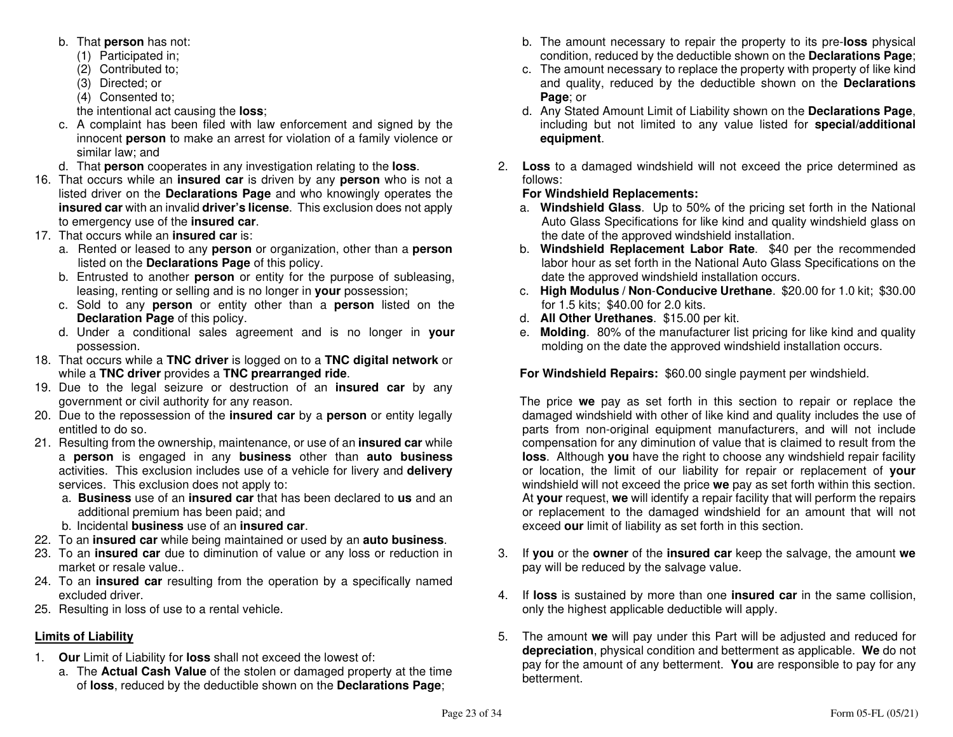- b. That **person** has not:
	- (1) Participated in;
- (2) Contributed to;
	- (3) Directed; or
- (4) Consented to;

the intentional act causing the **loss**;

- c. A complaint has been filed with law enforcement and signed by the innocent **person** to make an arrest for violation of a family violence or similar law; and
- d. That **person** cooperates in any investigation relating to the **loss**.
- 16. That occurs while an **insured car** is driven by any **person** who is not a listed driver on the **Declarations Page** and who knowingly operates the **insured car** with an invalid **driver's license**. This exclusion does not apply to emergency use of the **insured car**.
- 17. That occurs while an **insured car** is:
- a. Rented or leased to any **person** or organization, other than a **person**listed on the **Declarations Page** of this policy.
- b. Entrusted to another **person** or entity for the purpose of subleasing, leasing, renting or selling and is no longer in **your** possession;
- c. Sold to any **person** or entity other than a **person** listed on the **Declaration Page** of this policy.
- d. Under a conditional sales agreement and is no longer in **your**possession.
- 18. That occurs while a **TNC driver** is logged on to a **TNC digital network** or while a **TNC driver** provides a **TNC prearranged ride**.
- 19. Due to the legal seizure or destruction of an **insured car** by any government or civil authority for any reason.
- 20. Due to the repossession of the **insured car** by a **person** or entity legally entitled to do so.
- 21. Resulting from the ownership, maintenance, or use of an **insured car** while a **person** is engaged in any **business** other than **auto business** activities. This exclusion includes use of a vehicle for livery and **delivery**services. This exclusion does not apply to:
	- a. **Business** use of an **insured car** that has been declared to **us** and an additional premium has been paid; and
	- b. Incidental **business** use of an **insured car**.
- 22. To an **insured car** while being maintained or used by an **auto business**.
- 23. To an **insured car** due to diminution of value or any loss or reduction in market or resale value..
- 24. To an **insured car** resulting from the operation by a specifically named excluded driver.
- 25. Resulting in loss of use to a rental vehicle.

# **Limits of Liability**

- 1. **Our** Limit of Liability for **loss** shall not exceed the lowest of:
- a. The **Actual Cash Value** of the stolen or damaged property at the time of **loss**, reduced by the deductible shown on the **Declarations Page**;
- b. The amount necessary to repair the property to its pre-**loss** physical condition, reduced by the deductible shown on the **Declarations Page**;
- c. The amount necessary to replace the property with property of like kind and quality, reduced by the deductible shown on the **Declarations Page**; or
- d. Any Stated Amount Limit of Liability shown on the **Declarations Page**, including but not limited to any value listed for **special/additional equipment**.
- 2. **Loss** to a damaged windshield will not exceed the price determined as follows:

# **For Windshield Replacements:**

- a. **Windshield Glass**. Up to 50% of the pricing set forth in the National Auto Glass Specifications for like kind and quality windshield glass on the date of the approved windshield installation.
- b. **Windshield Replacement Labor Rate**. \$40 per the recommended labor hour as set forth in the National Auto Glass Specifications on the date the approved windshield installation occurs.
- c. **High Modulus / Non**-**Conducive Urethane**. \$20.00 for 1.0 kit; \$30.00 for 1.5 kits; \$40.00 for 2.0 kits.
- d. **All Other Urethanes**. \$15.00 per kit.
- e. **Molding**. 80% of the manufacturer list pricing for like kind and quality molding on the date the approved windshield installation occurs.

**For Windshield Repairs:** \$60.00 single payment per windshield.

The price **we** pay as set forth in this section to repair or replace the damaged windshield with other of like kind and quality includes the use of parts from non-original equipment manufacturers, and will not include compensation for any diminution of value that is claimed to result from the **loss**. Although **you** have the right to choose any windshield repair facility or location, the limit of our liability for repair or replacement of **your** windshield will not exceed the price **we** pay as set forth within this section. At **your** request, **we** will identify a repair facility that will perform the repairs or replacement to the damaged windshield for an amount that will not exceed **our** limit of liability as set forth in this section.

- 3. If **you** or the **owner** of the **insured car** keep the salvage, the amount **we**pay will be reduced by the salvage value.
- 4. If **loss** is sustained by more than one **insured car** in the same collision, only the highest applicable deductible will apply.
- 5. The amount **we** will pay under this Part will be adjusted and reduced for **depreciation**, physical condition and betterment as applicable. **We** do not pay for the amount of any betterment. **You** are responsible to pay for any betterment.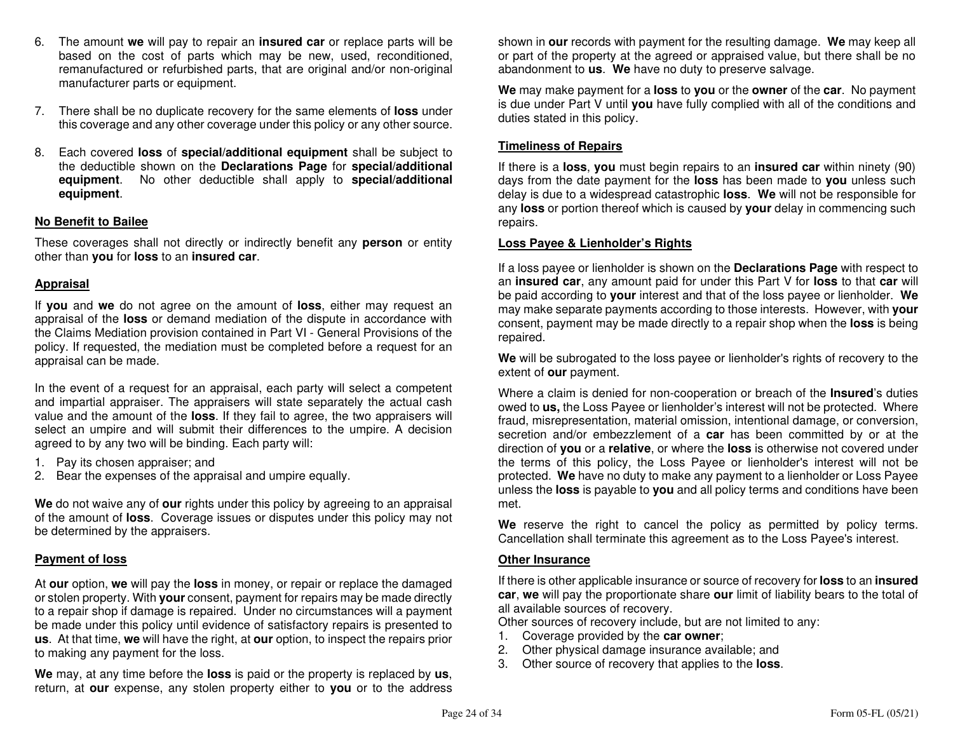- 6. The amount **we** will pay to repair an **insured car** or replace parts will be based on the cost of parts which may be new, used, reconditioned, remanufactured or refurbished parts, that are original and/or non-original manufacturer parts or equipment.
- 7. There shall be no duplicate recovery for the same elements of **loss** under this coverage and any other coverage under this policy or any other source.
- 8. Each covered **loss** of **special/additional equipment** shall be subject to the deductible shown on the **Declarations Page** for **special/additional equipment**. No other deductible shall apply to **special/additional equipment**.

#### **No Benefit to Bailee**

These coverages shall not directly or indirectly benefit any **person** or entity other than **you** for **loss** to an **insured car**.

#### **Appraisal**

If **you** and **we** do not agree on the amount of **loss**, either may request an appraisal of the **loss** or demand mediation of the dispute in accordance with the Claims Mediation provision contained in Part VI - General Provisions of the policy. If requested, the mediation must be completed before a request for an appraisal can be made.

In the event of a request for an appraisal, each party will select a competent and impartial appraiser. The appraisers will state separately the actual cash value and the amount of the **loss**. If they fail to agree, the two appraisers will select an umpire and will submit their differences to the umpire. A decision agreed to by any two will be binding. Each party will:

- 1. Pay its chosen appraiser; and
- 2. Bear the expenses of the appraisal and umpire equally.

**We** do not waive any of **our** rights under this policy by agreeing to an appraisal of the amount of **loss**. Coverage issues or disputes under this policy may not be determined by the appraisers.

#### **Payment of loss**

At **our** option, **we** will pay the **loss** in money, or repair or replace the damaged or stolen property. With **your** consent, payment for repairs may be made directly to a repair shop if damage is repaired. Under no circumstances will a payment be made under this policy until evidence of satisfactory repairs is presented to **us**. At that time, **we** will have the right, at **our** option, to inspect the repairs prior to making any payment for the loss.

**We** may, at any time before the **loss** is paid or the property is replaced by **us**, return, at **our** expense, any stolen property either to **you** or to the address shown in **our** records with payment for the resulting damage. **We** may keep all or part of the property at the agreed or appraised value, but there shall be no abandonment to **us**. **We** have no duty to preserve salvage.

**We** may make payment for a **loss** to **you** or the **owner** of the **car**. No payment is due under Part V until **you** have fully complied with all of the conditions and duties stated in this policy.

#### **Timeliness of Repairs**

If there is a **loss**, **you** must begin repairs to an **insured car** within ninety (90) days from the date payment for the **loss** has been made to **you** unless such delay is due to a widespread catastrophic **loss**. **We** will not be responsible for any **loss** or portion thereof which is caused by **your** delay in commencing such repairs.

#### **Loss Payee & Lienholder's Rights**

If a loss payee or lienholder is shown on the **Declarations Page** with respect to an **insured car**, any amount paid for under this Part V for **loss** to that **car** will be paid according to **your** interest and that of the loss payee or lienholder. **We** may make separate payments according to those interests. However, with **your** consent, payment may be made directly to a repair shop when the **loss** is being repaired.

**We** will be subrogated to the loss payee or lienholder's rights of recovery to the extent of **our** payment.

Where a claim is denied for non-cooperation or breach of the **Insured**'s duties owed to **us,** the Loss Payee or lienholder's interest will not be protected. Where fraud, misrepresentation, material omission, intentional damage, or conversion, secretion and/or embezzlement of a **car** has been committed by or at the direction of **you** or a **relative**, or where the **loss** is otherwise not covered under the terms of this policy, the Loss Payee or lienholder's interest will not be protected. **We** have no duty to make any payment to a lienholder or Loss Payee unless the **loss** is payable to **you** and all policy terms and conditions have been met.

**We** reserve the right to cancel the policy as permitted by policy terms. Cancellation shall terminate this agreement as to the Loss Payee's interest.

#### **Other Insurance**

If there is other applicable insurance or source of recovery for **loss** to an **insured car**, **we** will pay the proportionate share **our** limit of liability bears to the total of all available sources of recovery.

Other sources of recovery include, but are not limited to any:

- 1. Coverage provided by the **car owner**;
- 2. Other physical damage insurance available; and
- 3. Other source of recovery that applies to the **loss**.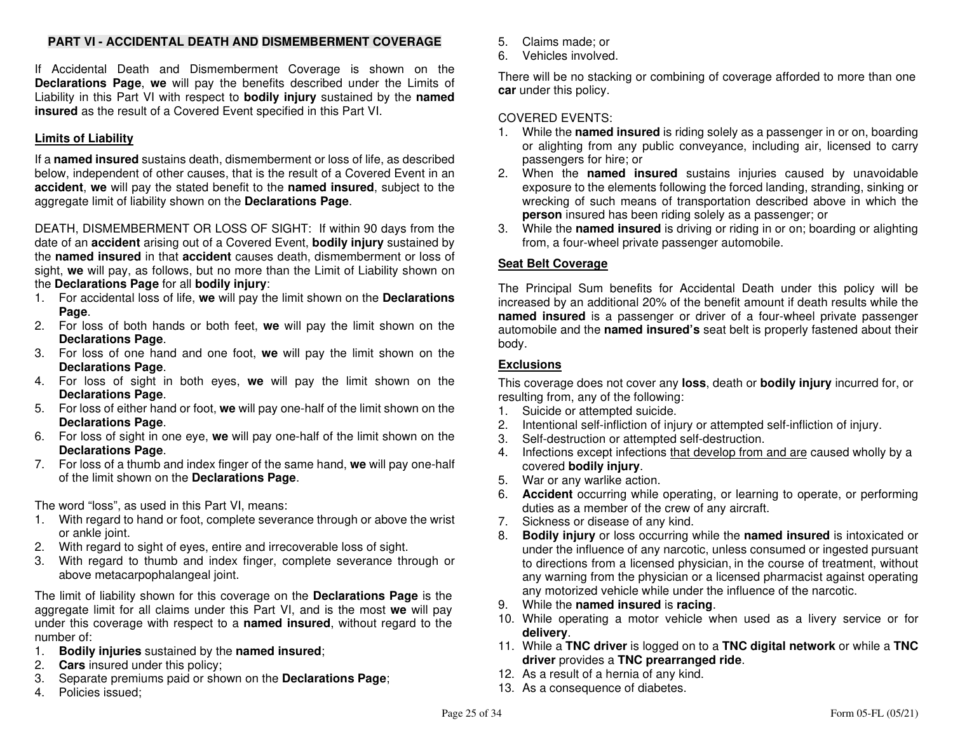# **PART VI - ACCIDENTAL DEATH AND DISMEMBERMENT COVERAGE**

If Accidental Death and Dismemberment Coverage is shown on the **Declarations Page**, **we** will pay the benefits described under the Limits of Liability in this Part VI with respect to **bodily injury** sustained by the **named insured** as the result of a Covered Event specified in this Part VI.

# **Limits of Liability**

If a **named insured** sustains death, dismemberment or loss of life, as described below, independent of other causes, that is the result of a Covered Event in an **accident**, **we** will pay the stated benefit to the **named insured**, subject to the aggregate limit of liability shown on the **Declarations Page**.

DEATH, DISMEMBERMENT OR LOSS OF SIGHT: If within 90 days from the date of an **accident** arising out of a Covered Event, **bodily injury** sustained by the **named insured** in that **accident** causes death, dismemberment or loss of sight, **we** will pay, as follows, but no more than the Limit of Liability shown on the **Declarations Page** for all **bodily injury**:

- 1. For accidental loss of life, **we** will pay the limit shown on the **Declarations Page**.
- 2. For loss of both hands or both feet, **we** will pay the limit shown on the **Declarations Page**.
- 3. For loss of one hand and one foot, **we** will pay the limit shown on the **Declarations Page**.
- 4. For loss of sight in both eyes, **we** will pay the limit shown on the **Declarations Page**.
- 5. For loss of either hand or foot, **we** will pay one-half of the limit shown on the **Declarations Page**.
- 6. For loss of sight in one eye, **we** will pay one-half of the limit shown on the **Declarations Page**.
- 7. For loss of a thumb and index finger of the same hand, **we** will pay one-half of the limit shown on the **Declarations Page**.

The word "loss", as used in this Part VI, means:

- 1. With regard to hand or foot, complete severance through or above the wrist or ankle joint.
- 2. With regard to sight of eyes, entire and irrecoverable loss of sight.
- 3. With regard to thumb and index finger, complete severance through or above metacarpophalangeal joint.

The limit of liability shown for this coverage on the **Declarations Page** is the aggregate limit for all claims under this Part VI, and is the most **we** will pay under this coverage with respect to a **named insured**, without regard to the number of:

- 1. **Bodily injuries** sustained by the **named insured**;
- 2. **Cars** insured under this policy;
- 3. Separate premiums paid or shown on the **Declarations Page**;
- 4. Policies issued;
- 5. Claims made; or
- 6. Vehicles involved.

There will be no stacking or combining of coverage afforded to more than one **car** under this policy.

# COVERED EVENTS:

- 1. While the **named insured** is riding solely as a passenger in or on, boarding or alighting from any public conveyance, including air, licensed to carry passengers for hire; or
- 2. When the **named insured** sustains injuries caused by unavoidable exposure to the elements following the forced landing, stranding, sinking or wrecking of such means of transportation described above in which the **person** insured has been riding solely as a passenger; or
- 3. While the **named insured** is driving or riding in or on; boarding or alighting from, a four-wheel private passenger automobile.

# **Seat Belt Coverage**

The Principal Sum benefits for Accidental Death under this policy will be increased by an additional 20% of the benefit amount if death results while the **named insured** is a passenger or driver of a four-wheel private passenger automobile and the **named insured's** seat belt is properly fastened about their body.

# **Exclusions**

 This coverage does not cover any **loss**, death or **bodily injury** incurred for, or resulting from, any of the following:

- 1. Suicide or attempted suicide.
- 2. Intentional self-infliction of injury or attempted self-infliction of injury.
- 3. Self-destruction or attempted self-destruction.
- 4. Infections except infections that develop from and are caused wholly by a covered **bodily injury**.
- 5. War or any warlike action.
- 6. **Accident** occurring while operating, or learning to operate, or performing duties as a member of the crew of any aircraft.
- 7. Sickness or disease of any kind.
- 8. **Bodily injury** or loss occurring while the **named insured** is intoxicated or under the influence of any narcotic, unless consumed or ingested pursuant to directions from a licensed physician, in the course of treatment, without any warning from the physician or a licensed pharmacist against operating any motorized vehicle while under the influence of the narcotic.
- 9. While the **named insured** is **racing**.
- 10. While operating a motor vehicle when used as a livery service or for **delivery**.
- 11. While a **TNC driver** is logged on to a **TNC digital network** or while a **TNC driver** provides a **TNC prearranged ride**.
- 12. As a result of a hernia of any kind.
- 13. As a consequence of diabetes.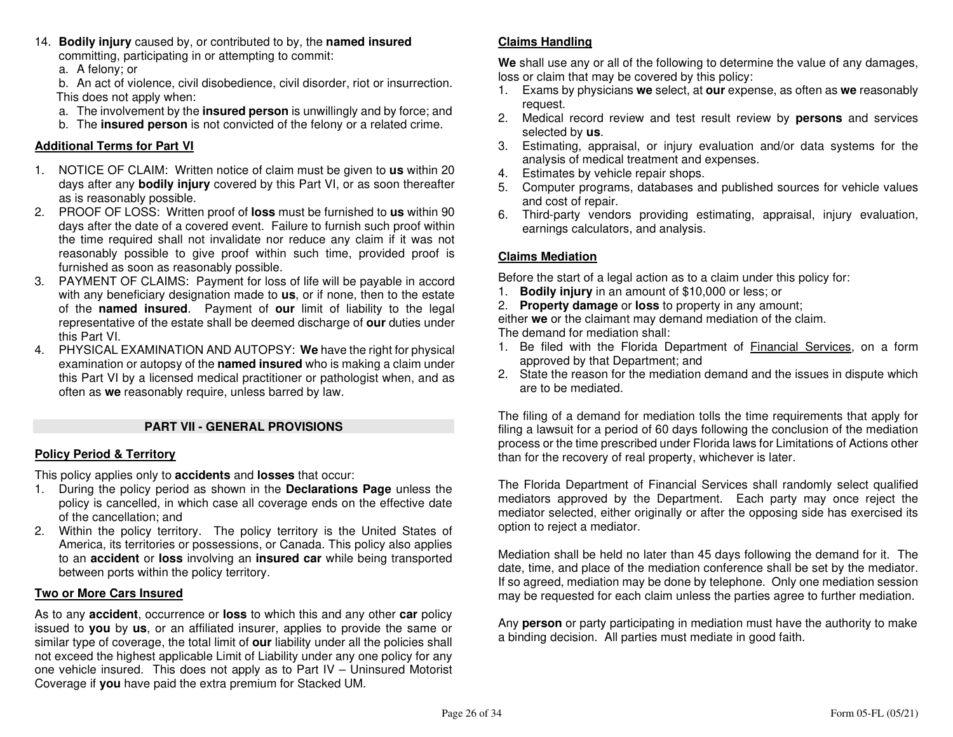- 14. **Bodily injury** caused by, or contributed to by, the **named insured**committing, participating in or attempting to commit:
	- a. A felony; or

 b. An act of violence, civil disobedience, civil disorder, riot or insurrection. This does not apply when:

- a. The involvement by the **insured person** is unwillingly and by force; and
	- b. The **insured person** is not convicted of the felony or a related crime.

# **Additional Terms for Part VI**

- 1. NOTICE OF CLAIM: Written notice of claim must be given to **us** within 20 days after any **bodily injury** covered by this Part VI, or as soon thereafter as is reasonably possible.
- 2. PROOF OF LOSS: Written proof of **loss** must be furnished to **us** within 90 days after the date of a covered event. Failure to furnish such proof within the time required shall not invalidate nor reduce any claim if it was not reasonably possible to give proof within such time, provided proof is furnished as soon as reasonably possible.
- 3. PAYMENT OF CLAIMS: Payment for loss of life will be payable in accord with any beneficiary designation made to **us**, or if none, then to the estate of the **named insured**. Payment of **our** limit of liability to the legal representative of the estate shall be deemed discharge of **our** duties under this Part VI.
- 4. PHYSICAL EXAMINATION AND AUTOPSY: **We** have the right for physical examination or autopsy of the **named insured** who is making a claim under this Part VI by a licensed medical practitioner or pathologist when, and as often as **we** reasonably require, unless barred by law.

# **PART VII - GENERAL PROVISIONS**

# **Policy Period & Territory**

This policy applies only to **accidents** and **losses** that occur:

- 1. During the policy period as shown in the **Declarations Page** unless the policy is cancelled, in which case all coverage ends on the effective date of the cancellation; and
- 2. Within the policy territory. The policy territory is the United States of America, its territories or possessions, or Canada. This policy also applies to an **accident** or **loss** involving an **insured car** while being transported between ports within the policy territory.

# **Two or More Cars Insured**

As to any **accident**, occurrence or **loss** to which this and any other **car** policy issued to **you** by **us**, or an affiliated insurer, applies to provide the same or similar type of coverage, the total limit of **our** liability under all the policies shall not exceed the highest applicable Limit of Liability under any one policy for any one vehicle insured. This does not apply as to Part IV – Uninsured Motorist Coverage if **you** have paid the extra premium for Stacked UM.

# **Claims Handling**

**We** shall use any or all of the following to determine the value of any damages, loss or claim that may be covered by this policy:

- 1. Exams by physicians **we** select, at **our** expense, as often as **we** reasonably request.
- 2. Medical record review and test result review by **persons** and services selected by **us**.
- 3. Estimating, appraisal, or injury evaluation and/or data systems for the analysis of medical treatment and expenses.
- 4. Estimates by vehicle repair shops.
- 5. Computer programs, databases and published sources for vehicle values and cost of repair.
- 6. Third-party vendors providing estimating, appraisal, injury evaluation, earnings calculators, and analysis.

# **Claims Mediation**

Before the start of a legal action as to a claim under this policy for:

- 1. **Bodily injury** in an amount of \$10,000 or less; or
- 2. **Property damage** or **loss** to property in any amount;

 either **we** or the claimant may demand mediation of the claim. The demand for mediation shall:

- 1. Be filed with the Florida Department of Financial Services, on a form approved by that Department; and
- 2. State the reason for the mediation demand and the issues in dispute which are to be mediated.

The filing of a demand for mediation tolls the time requirements that apply for filing a lawsuit for a period of 60 days following the conclusion of the mediation process or the time prescribed under Florida laws for Limitations of Actions other than for the recovery of real property, whichever is later.

The Florida Department of Financial Services shall randomly select qualified mediators approved by the Department. Each party may once reject the mediator selected, either originally or after the opposing side has exercised its option to reject a mediator.

Mediation shall be held no later than 45 days following the demand for it. The date, time, and place of the mediation conference shall be set by the mediator. If so agreed, mediation may be done by telephone. Only one mediation session may be requested for each claim unless the parties agree to further mediation.

Any **person** or party participating in mediation must have the authority to make a binding decision. All parties must mediate in good faith.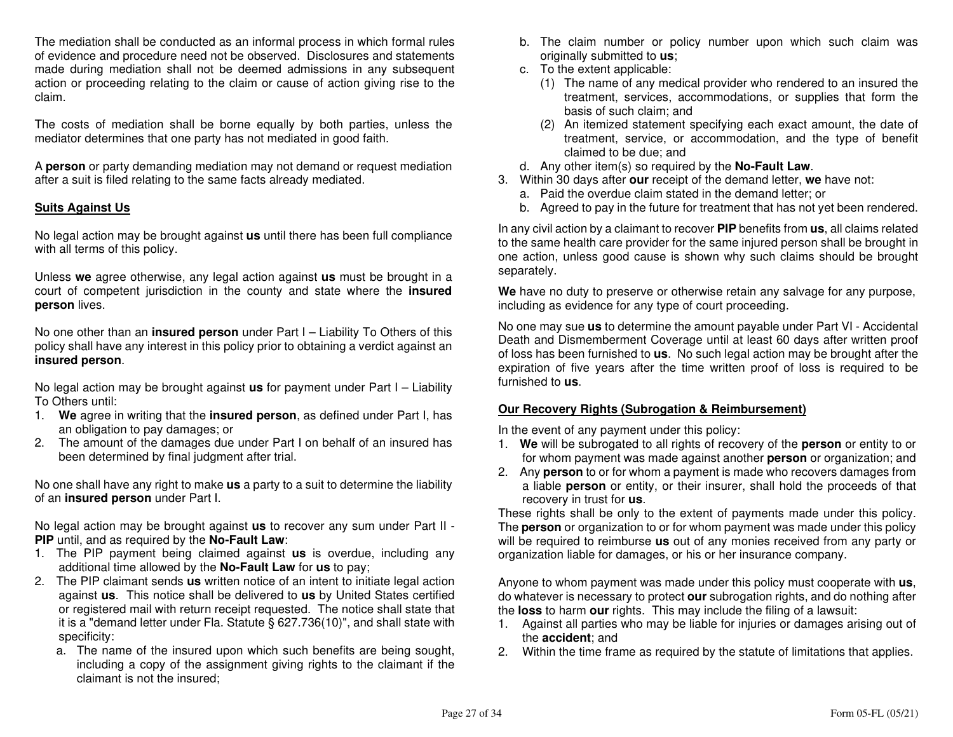The mediation shall be conducted as an informal process in which formal rules of evidence and procedure need not be observed. Disclosures and statements made during mediation shall not be deemed admissions in any subsequent action or proceeding relating to the claim or cause of action giving rise to the claim.

The costs of mediation shall be borne equally by both parties, unless the mediator determines that one party has not mediated in good faith.

A **person** or party demanding mediation may not demand or request mediation after a suit is filed relating to the same facts already mediated.

# **Suits Against Us**

No legal action may be brought against **us** until there has been full compliance with all terms of this policy.

Unless **we** agree otherwise, any legal action against **us** must be brought in a court of competent jurisdiction in the county and state where the **insured person** lives.

No one other than an **insured person** under Part I – Liability To Others of this policy shall have any interest in this policy prior to obtaining a verdict against an **insured person**.

No legal action may be brought against **us** for payment under Part I – Liability To Others until:

- 1. **We** agree in writing that the **insured person**, as defined under Part I, has an obligation to pay damages; or
- 2. The amount of the damages due under Part I on behalf of an insured has been determined by final judgment after trial.

No one shall have any right to make **us** a party to a suit to determine the liability of an **insured person** under Part I.

No legal action may be brought against **us** to recover any sum under Part II - **PIP** until, and as required by the **No-Fault Law**:

- 1. The PIP payment being claimed against **us** is overdue, including any additional time allowed by the **No-Fault Law** for **us** to pay;
- 2. The PIP claimant sends **us** written notice of an intent to initiate legal action against **us**. This notice shall be delivered to **us** by United States certified or registered mail with return receipt requested. The notice shall state that it is a "demand letter under Fla. Statute § 627.736(10)", and shall state with specificity:
- a. The name of the insured upon which such benefits are being sought, including a copy of the assignment giving rights to the claimant if the claimant is not the insured;
- b. The claim number or policy number upon which such claim was originally submitted to **us**;
- c. To the extent applicable:
- (1) The name of any medical provider who rendered to an insured the treatment, services, accommodations, or supplies that form the basis of such claim; and
- (2) An itemized statement specifying each exact amount, the date of treatment, service, or accommodation, and the type of benefit claimed to be due; and
- d. Any other item(s) so required by the **No-Fault Law**.
- 3. Within 30 days after **our** receipt of the demand letter, **we** have not:
	- a. Paid the overdue claim stated in the demand letter; or
- b. Agreed to pay in the future for treatment that has not yet been rendered.

In any civil action by a claimant to recover **PIP** benefits from **us**, all claims related to the same health care provider for the same injured person shall be brought in one action, unless good cause is shown why such claims should be brought separately.

**We** have no duty to preserve or otherwise retain any salvage for any purpose, including as evidence for any type of court proceeding.

No one may sue **us** to determine the amount payable under Part VI - Accidental Death and Dismemberment Coverage until at least 60 days after written proof of loss has been furnished to **us**. No such legal action may be brought after the expiration of five years after the time written proof of loss is required to be furnished to **us**.

# **Our Recovery Rights (Subrogation & Reimbursement)**

In the event of any payment under this policy:

- 1. **We** will be subrogated to all rights of recovery of the **person** or entity to or for whom payment was made against another **person** or organization; and
- 2. Any **person** to or for whom a payment is made who recovers damages from a liable **person** or entity, or their insurer, shall hold the proceeds of that recovery in trust for **us**.

 These rights shall be only to the extent of payments made under this policy. The **person** or organization to or for whom payment was made under this policy will be required to reimburse **us** out of any monies received from any party or organization liable for damages, or his or her insurance company.

Anyone to whom payment was made under this policy must cooperate with **us**, do whatever is necessary to protect **our** subrogation rights, and do nothing after the **loss** to harm **our** rights. This may include the filing of a lawsuit:

- 1. Against all parties who may be liable for injuries or damages arising out of the **accident**; and
- 2. Within the time frame as required by the statute of limitations that applies.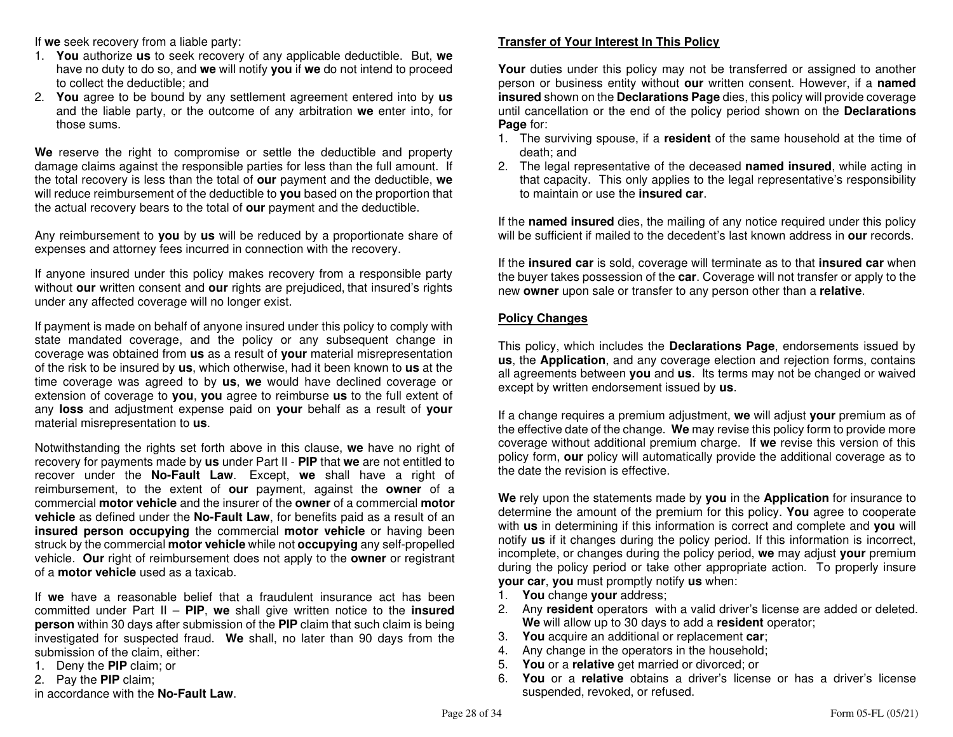If **we** seek recovery from a liable party:

- 1. **You** authorize **us** to seek recovery of any applicable deductible. But, **we**  have no duty to do so, and **we** will notify **you** if **we** do not intend to proceed to collect the deductible; and
- 2. **You** agree to be bound by any settlement agreement entered into by **us** and the liable party, or the outcome of any arbitration **we** enter into, for those sums.

**We** reserve the right to compromise or settle the deductible and property damage claims against the responsible parties for less than the full amount. If the total recovery is less than the total of **our** payment and the deductible, **we**  will reduce reimbursement of the deductible to **you** based on the proportion that the actual recovery bears to the total of **our** payment and the deductible.

Any reimbursement to **you** by **us** will be reduced by a proportionate share of expenses and attorney fees incurred in connection with the recovery.

If anyone insured under this policy makes recovery from a responsible party without **our** written consent and **our** rights are prejudiced, that insured's rights under any affected coverage will no longer exist.

If payment is made on behalf of anyone insured under this policy to comply with state mandated coverage, and the policy or any subsequent change in coverage was obtained from **us** as a result of **your** material misrepresentation of the risk to be insured by **us**, which otherwise, had it been known to **us** at the time coverage was agreed to by **us**, **we** would have declined coverage or extension of coverage to **you**, **you** agree to reimburse **us** to the full extent of any **loss** and adjustment expense paid on **your** behalf as a result of **your**material misrepresentation to **us**.

Notwithstanding the rights set forth above in this clause, **we** have no right of recovery for payments made by **us** under Part II - **PIP** that **we** are not entitled to recover under the **No-Fault Law**. Except, **we** shall have a right of reimbursement, to the extent of **our** payment, against the **owner** of a commercial **motor vehicle** and the insurer of the **owner** of a commercial **motor vehicle** as defined under the **No-Fault Law**, for benefits paid as a result of an **insured person occupying** the commercial **motor vehicle** or having been struck by the commercial **motor vehicle** while not **occupying** any self-propelled vehicle. **Our** right of reimbursement does not apply to the **owner** or registrant of a **motor vehicle** used as a taxicab.

If **we** have a reasonable belief that a fraudulent insurance act has been committed under Part II – **PIP**, **we** shall give written notice to the **insured person** within 30 days after submission of the **PIP** claim that such claim is being investigated for suspected fraud. **We** shall, no later than 90 days from the submission of the claim, either:

- 1. Deny the **PIP** claim; or
- 2. Pay the **PIP** claim;

in accordance with the **No-Fault Law**.

# **Transfer of Your Interest In This Policy**

**Your** duties under this policy may not be transferred or assigned to another person or business entity without **our** written consent. However, if a **named insured** shown on the **Declarations Page** dies, this policy will provide coverage until cancellation or the end of the policy period shown on the **Declarations Page** for:

- 1. The surviving spouse, if a **resident** of the same household at the time of death; and
- 2. The legal representative of the deceased **named insured**, while acting in that capacity. This only applies to the legal representative's responsibility to maintain or use the **insured car**.

If the **named insured** dies, the mailing of any notice required under this policy will be sufficient if mailed to the decedent's last known address in **our** records.

If the **insured car** is sold, coverage will terminate as to that **insured car** when the buyer takes possession of the **car**. Coverage will not transfer or apply to the new **owner** upon sale or transfer to any person other than a **relative**.

# **Policy Changes**

This policy, which includes the **Declarations Page**, endorsements issued by **us**, the **Application**, and any coverage election and rejection forms, contains all agreements between **you** and **us**. Its terms may not be changed or waived except by written endorsement issued by **us**.

If a change requires a premium adjustment, **we** will adjust **your** premium as of the effective date of the change. **We** may revise this policy form to provide more coverage without additional premium charge. If **we** revise this version of this policy form, **our** policy will automatically provide the additional coverage as to the date the revision is effective.

**We** rely upon the statements made by **you** in the **Application** for insurance to determine the amount of the premium for this policy. **You** agree to cooperate with **us** in determining if this information is correct and complete and **you** will notify **us** if it changes during the policy period. If this information is incorrect, incomplete, or changes during the policy period, **we** may adjust **your** premium during the policy period or take other appropriate action. To properly insure **your car**, **you** must promptly notify **us** when:

- 1. **You** change **your** address;
- 2. Any **resident** operators with a valid driver's license are added or deleted. **We** will allow up to 30 days to add a **resident** operator;
- 3. **You** acquire an additional or replacement **car**;
- 4. Any change in the operators in the household;
- 5. **You** or a **relative** get married or divorced; or
- 6. **You** or a **relative** obtains a driver's license or has a driver's license suspended, revoked, or refused.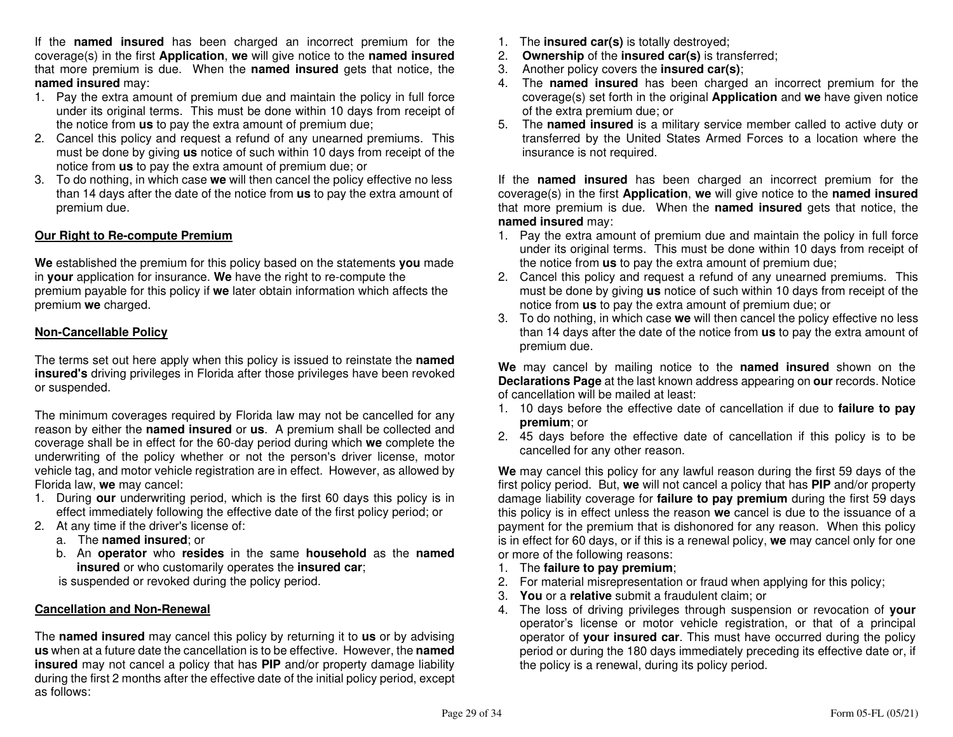If the **named insured** has been charged an incorrect premium for the coverage(s) in the first **Application**, **we** will give notice to the **named insured** that more premium is due. When the **named insured** gets that notice, the **named insured** may:

- 1. Pay the extra amount of premium due and maintain the policy in full force under its original terms. This must be done within 10 days from receipt of the notice from **us** to pay the extra amount of premium due;
- 2. Cancel this policy and request a refund of any unearned premiums. This must be done by giving **us** notice of such within 10 days from receipt of the notice from **us** to pay the extra amount of premium due; or
- 3. To do nothing, in which case **we** will then cancel the policy effective no less than 14 days after the date of the notice from **us** to pay the extra amount of premium due.

# **Our Right to Re-compute Premium**

**We** established the premium for this policy based on the statements **you** made in **your** application for insurance. **We** have the right to re-compute the premium payable for this policy if **we** later obtain information which affects the premium **we** charged.

# **Non-Cancellable Policy**

The terms set out here apply when this policy is issued to reinstate the **named insured's** driving privileges in Florida after those privileges have been revoked or suspended.

The minimum coverages required by Florida law may not be cancelled for any reason by either the **named insured** or **us**. A premium shall be collected and coverage shall be in effect for the 60-day period during which **we** complete the underwriting of the policy whether or not the person's driver license, motor vehicle tag, and motor vehicle registration are in effect. However, as allowed by Florida law, **we** may cancel:

- 1. During **our** underwriting period, which is the first 60 days this policy is in effect immediately following the effective date of the first policy period; or
- 2. At any time if the driver's license of:
	- a. The **named insured**; or
- b. An **operator** who **resides** in the same **household** as the **named insured** or who customarily operates the **insured car**;

is suspended or revoked during the policy period.

# **Cancellation and Non-Renewal**

The **named insured** may cancel this policy by returning it to **us** or by advising **us** when at a future date the cancellation is to be effective. However, the **named insured** may not cancel a policy that has **PIP** and/or property damage liability during the first 2 months after the effective date of the initial policy period, except as follows:

- 1. The **insured car(s)** is totally destroyed;
- 2. **Ownership** of the **insured car(s)** is transferred;
- 3. Another policy covers the **insured car(s)**;
- 4. The **named insured** has been charged an incorrect premium for the coverage(s) set forth in the original **Application** and **we** have given notice of the extra premium due; or
- 5. The **named insured** is a military service member called to active duty or transferred by the United States Armed Forces to a location where the insurance is not required.

If the **named insured** has been charged an incorrect premium for the coverage(s) in the first **Application**, **we** will give notice to the **named insured** that more premium is due. When the **named insured** gets that notice, the **named insured** may:

- 1. Pay the extra amount of premium due and maintain the policy in full force under its original terms. This must be done within 10 days from receipt of the notice from **us** to pay the extra amount of premium due;
- 2. Cancel this policy and request a refund of any unearned premiums. This must be done by giving **us** notice of such within 10 days from receipt of the notice from **us** to pay the extra amount of premium due; or
- 3. To do nothing, in which case **we** will then cancel the policy effective no less than 14 days after the date of the notice from **us** to pay the extra amount of premium due.

**We** may cancel by mailing notice to the **named insured** shown on the **Declarations Page** at the last known address appearing on **our** records. Notice of cancellation will be mailed at least:

- 1. 10 days before the effective date of cancellation if due to **failure to pay premium**; or
- 2. 45 days before the effective date of cancellation if this policy is to be cancelled for any other reason.

**We** may cancel this policy for any lawful reason during the first 59 days of the first policy period. But, **we** will not cancel a policy that has **PIP** and/or property damage liability coverage for **failure to pay premium** during the first 59 days this policy is in effect unless the reason **we** cancel is due to the issuance of a payment for the premium that is dishonored for any reason. When this policy is in effect for 60 days, or if this is a renewal policy, **we** may cancel only for one or more of the following reasons:

- 1. The **failure to pay premium**;
- 2. For material misrepresentation or fraud when applying for this policy;
- 3. **You** or a **relative** submit a fraudulent claim; or
- 4. The loss of driving privileges through suspension or revocation of **your** operator's license or motor vehicle registration, or that of a principal operator of **your insured car**. This must have occurred during the policy period or during the 180 days immediately preceding its effective date or, if the policy is a renewal, during its policy period.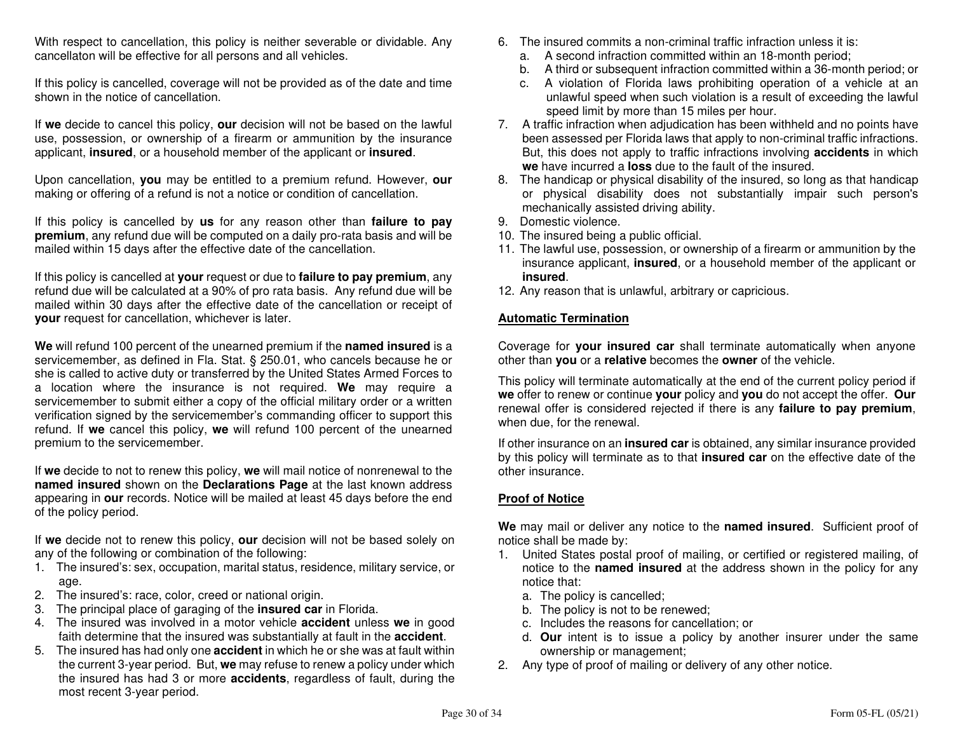With respect to cancellation, this policy is neither severable or dividable. Any cancellaton will be effective for all persons and all vehicles.

If this policy is cancelled, coverage will not be provided as of the date and time shown in the notice of cancellation.

If **we** decide to cancel this policy, **our** decision will not be based on the lawful use, possession, or ownership of a firearm or ammunition by the insurance applicant, **insured**, or a household member of the applicant or **insured**.

Upon cancellation, **you** may be entitled to a premium refund. However, **our**making or offering of a refund is not a notice or condition of cancellation.

If this policy is cancelled by **us** for any reason other than **failure to pay premium**, any refund due will be computed on a daily pro-rata basis and will be mailed within 15 days after the effective date of the cancellation.

If this policy is cancelled at **your** request or due to **failure to pay premium**, any refund due will be calculated at a 90% of pro rata basis. Any refund due will be mailed within 30 days after the effective date of the cancellation or receipt of **your** request for cancellation, whichever is later.

**We** will refund 100 percent of the unearned premium if the **named insured** is a servicemember, as defined in Fla. Stat. § 250.01, who cancels because he or she is called to active duty or transferred by the United States Armed Forces to a location where the insurance is not required. **We** may require a servicemember to submit either a copy of the official military order or a written verification signed by the servicemember's commanding officer to support this refund. If **we** cancel this policy, **we** will refund 100 percent of the unearned premium to the servicemember.

If **we** decide to not to renew this policy, **we** will mail notice of nonrenewal to the **named insured** shown on the **Declarations Page** at the last known address appearing in **our** records. Notice will be mailed at least 45 days before the end of the policy period.

If **we** decide not to renew this policy, **our** decision will not be based solely on any of the following or combination of the following:

- 1. The insured's: sex, occupation, marital status, residence, military service, or age.
- 2. The insured's: race, color, creed or national origin.
- 3. The principal place of garaging of the **insured car** in Florida.
- 4. The insured was involved in a motor vehicle **accident** unless **we** in good faith determine that the insured was substantially at fault in the **accident**.
- 5. The insured has had only one **accident** in which he or she was at fault within the current 3-year period. But, **we** may refuse to renew a policy under which the insured has had 3 or more **accidents**, regardless of fault, during the most recent 3-year period.
- 6. The insured commits a non-criminal traffic infraction unless it is:
	- a. A second infraction committed within an 18-month period;
- b. A third or subsequent infraction committed within a 36-month period; or
- c. A violation of Florida laws prohibiting operation of a vehicle at an unlawful speed when such violation is a result of exceeding the lawful speed limit by more than 15 miles per hour.
- 7. A traffic infraction when adjudication has been withheld and no points have been assessed per Florida laws that apply to non-criminal traffic infractions. But, this does not apply to traffic infractions involving **accidents** in which **we** have incurred a **loss** due to the fault of the insured.
- 8. The handicap or physical disability of the insured, so long as that handicap or physical disability does not substantially impair such person's mechanically assisted driving ability.
- 9. Domestic violence.
- 10. The insured being a public official.
- 11. The lawful use, possession, or ownership of a firearm or ammunition by the insurance applicant, **insured**, or a household member of the applicant or **insured**.
- 12. Any reason that is unlawful, arbitrary or capricious.

#### **Automatic Termination**

Coverage for **your insured car** shall terminate automatically when anyone other than **you** or a **relative** becomes the **owner** of the vehicle.

This policy will terminate automatically at the end of the current policy period if **we** offer to renew or continue **your** policy and **you** do not accept the offer. **Our**  renewal offer is considered rejected if there is any **failure to pay premium**, when due, for the renewal.

If other insurance on an **insured car** is obtained, any similar insurance provided by this policy will terminate as to that **insured car** on the effective date of the other insurance.

# **Proof of Notice**

**We** may mail or deliver any notice to the **named insured**. Sufficient proof of notice shall be made by:

- 1. United States postal proof of mailing, or certified or registered mailing, of notice to the **named insured** at the address shown in the policy for any notice that:
- a. The policy is cancelled;
- b. The policy is not to be renewed;
- c. Includes the reasons for cancellation; or
- d. **Our** intent is to issue a policy by another insurer under the same ownership or management;
- 2. Any type of proof of mailing or delivery of any other notice.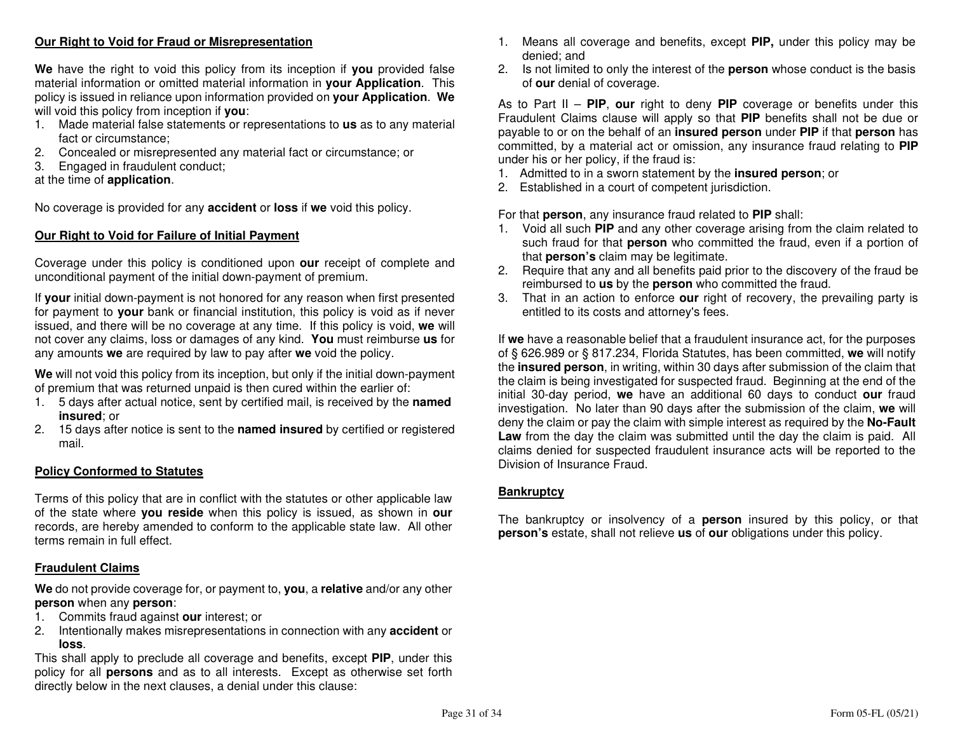# **Our Right to Void for Fraud or Misrepresentation**

**We** have the right to void this policy from its inception if **you** provided false material information or omitted material information in **your Application**. This policy is issued in reliance upon information provided on **your Application**. **We**will void this policy from inception if **you**:

- 1. Made material false statements or representations to **us** as to any material fact or circumstance;
- 2. Concealed or misrepresented any material fact or circumstance; or
- 3. Engaged in fraudulent conduct;

# at the time of **application**.

No coverage is provided for any **accident** or **loss** if **we** void this policy.

# **Our Right to Void for Failure of Initial Payment**

Coverage under this policy is conditioned upon **our** receipt of complete and unconditional payment of the initial down-payment of premium.

If **your** initial down-payment is not honored for any reason when first presented for payment to **your** bank or financial institution, this policy is void as if never issued, and there will be no coverage at any time. If this policy is void, **we** will not cover any claims, loss or damages of any kind. **You** must reimburse **us** for any amounts **we** are required by law to pay after **we** void the policy.

**We** will not void this policy from its inception, but only if the initial down-payment of premium that was returned unpaid is then cured within the earlier of:

- 1. 5 days after actual notice, sent by certified mail, is received by the **named insured**; or
- 2. 15 days after notice is sent to the **named insured** by certified or registered mail.

# **Policy Conformed to Statutes**

Terms of this policy that are in conflict with the statutes or other applicable law of the state where **you reside** when this policy is issued, as shown in **our**  records, are hereby amended to conform to the applicable state law. All other terms remain in full effect.

#### **Fraudulent Claims**

**We** do not provide coverage for, or payment to, **you**, a **relative** and/or any other **person** when any **person**:

- 1. Commits fraud against **our** interest; or
- 2. Intentionally makes misrepresentations in connection with any **accident** or **loss**.

 This shall apply to preclude all coverage and benefits, except **PIP**, under this policy for all **persons** and as to all interests. Except as otherwise set forth directly below in the next clauses, a denial under this clause:

- 1. Means all coverage and benefits, except **PIP,** under this policy may be denied; and
- 2. Is not limited to only the interest of the **person** whose conduct is the basis of **our** denial of coverage.

As to Part II – **PIP**, **our** right to deny **PIP** coverage or benefits under this Fraudulent Claims clause will apply so that **PIP** benefits shall not be due or payable to or on the behalf of an **insured person** under **PIP** if that **person** has committed, by a material act or omission, any insurance fraud relating to **PIP**under his or her policy, if the fraud is:

- 1. Admitted to in a sworn statement by the **insured person**; or
- 2. Established in a court of competent jurisdiction.

For that **person**, any insurance fraud related to **PIP** shall:

- 1. Void all such **PIP** and any other coverage arising from the claim related to such fraud for that **person** who committed the fraud, even if a portion of that **person's** claim may be legitimate.
- 2. Require that any and all benefits paid prior to the discovery of the fraud be reimbursed to **us** by the **person** who committed the fraud.
- 3. That in an action to enforce **our** right of recovery, the prevailing party is entitled to its costs and attorney's fees.

If **we** have a reasonable belief that a fraudulent insurance act, for the purposes of § 626.989 or § 817.234, Florida Statutes, has been committed, **we** will notify the **insured person**, in writing, within 30 days after submission of the claim that the claim is being investigated for suspected fraud. Beginning at the end of the initial 30-day period, **we** have an additional 60 days to conduct **our** fraud investigation. No later than 90 days after the submission of the claim, **we** will deny the claim or pay the claim with simple interest as required by the **No-Fault Law** from the day the claim was submitted until the day the claim is paid. All claims denied for suspected fraudulent insurance acts will be reported to the Division of Insurance Fraud.

#### **Bankruptcy**

The bankruptcy or insolvency of a **person** insured by this policy, or that **person's** estate, shall not relieve **us** of **our** obligations under this policy.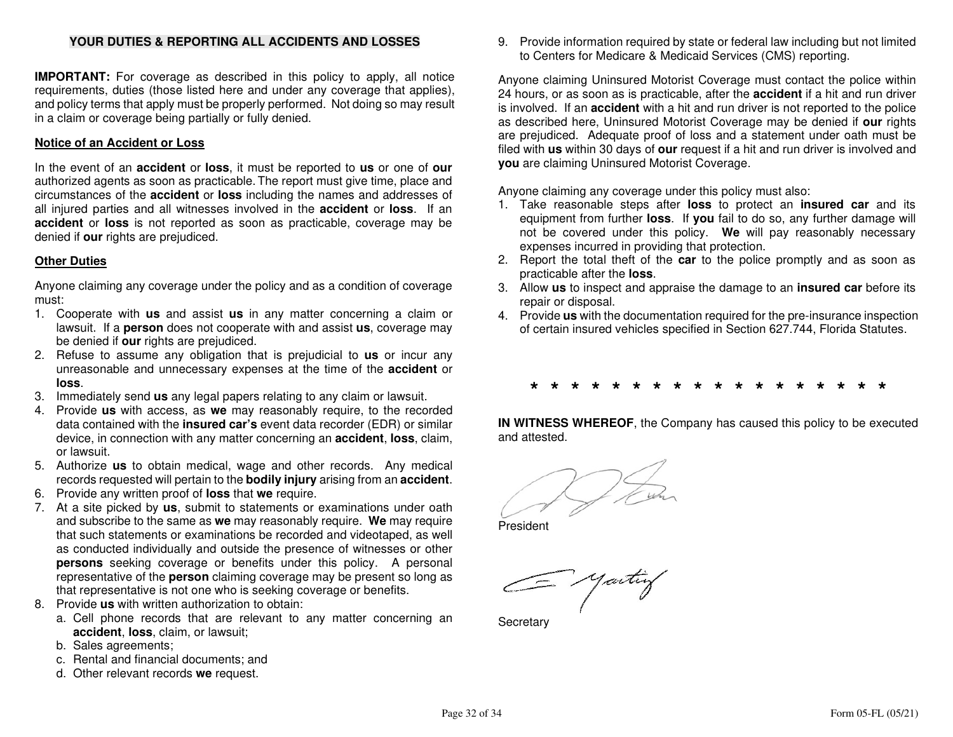# **YOUR DUTIES & REPORTING ALL ACCIDENTS AND LOSSES**

**IMPORTANT:** For coverage as described in this policy to apply, all notice requirements, duties (those listed here and under any coverage that applies), and policy terms that apply must be properly performed. Not doing so may result in a claim or coverage being partially or fully denied.

#### **Notice of an Accident or Loss**

In the event of an **accident** or **loss**, it must be reported to **us** or one of **our**  authorized agents as soon as practicable. The report must give time, place and circumstances of the **accident** or **loss** including the names and addresses of all injured parties and all witnesses involved in the **accident** or **loss**. If an **accident** or **loss** is not reported as soon as practicable, coverage may be denied if **our** rights are prejudiced.

#### **Other Duties**

Anyone claiming any coverage under the policy and as a condition of coverage must:

- 1. Cooperate with **us** and assist **us** in any matter concerning a claim or lawsuit. If a **person** does not cooperate with and assist **us**, coverage may be denied if **our** rights are prejudiced.
- 2. Refuse to assume any obligation that is prejudicial to **us** or incur any unreasonable and unnecessary expenses at the time of the **accident** or **loss**.
- 3. Immediately send **us** any legal papers relating to any claim or lawsuit.
- 4. Provide **us** with access, as **we** may reasonably require, to the recorded data contained with the **insured car's** event data recorder (EDR) or similar device, in connection with any matter concerning an **accident**, **loss**, claim, or lawsuit.
- 5. Authorize **us** to obtain medical, wage and other records. Any medical records requested will pertain to the **bodily injury** arising from an **accident**.
- 6. Provide any written proof of **loss** that **we** require.
- 7. At a site picked by **us**, submit to statements or examinations under oath and subscribe to the same as **we** may reasonably require. **We** may require that such statements or examinations be recorded and videotaped, as well as conducted individually and outside the presence of witnesses or other **persons** seeking coverage or benefits under this policy. A personal representative of the **person** claiming coverage may be present so long as that representative is not one who is seeking coverage or benefits.
- 8. Provide **us** with written authorization to obtain:
	- a. Cell phone records that are relevant to any matter concerning an **accident**, **loss**, claim, or lawsuit;
	- b. Sales agreements;
	- c. Rental and financial documents; and
	- d. Other relevant records **we** request.

9. Provide information required by state or federal law including but not limited to Centers for Medicare & Medicaid Services (CMS) reporting.

Anyone claiming Uninsured Motorist Coverage must contact the police within 24 hours, or as soon as is practicable, after the **accident** if a hit and run driver is involved. If an **accident** with a hit and run driver is not reported to the police as described here, Uninsured Motorist Coverage may be denied if **our** rights are prejudiced. Adequate proof of loss and a statement under oath must be filed with **us** within 30 days of **our** request if a hit and run driver is involved and **you** are claiming Uninsured Motorist Coverage.

Anyone claiming any coverage under this policy must also:

- 1. Take reasonable steps after **loss** to protect an **insured car** and its equipment from further **loss**. If **you** fail to do so, any further damage will not be covered under this policy. **We** will pay reasonably necessary expenses incurred in providing that protection.
- 2. Report the total theft of the **car** to the police promptly and as soon as practicable after the **loss**.
- 3. Allow **us** to inspect and appraise the damage to an **insured car** before its repair or disposal.
- 4. Provide **us** with the documentation required for the pre-insurance inspection of certain insured vehicles specified in Section 627.744, Florida Statutes.

# **\* \* \* \* \* \* \* \* \* \* \* \* \* \* \* \* \* \***

**IN WITNESS WHEREOF**, the Company has caused this policy to be executedand attested.

President

**Secretary**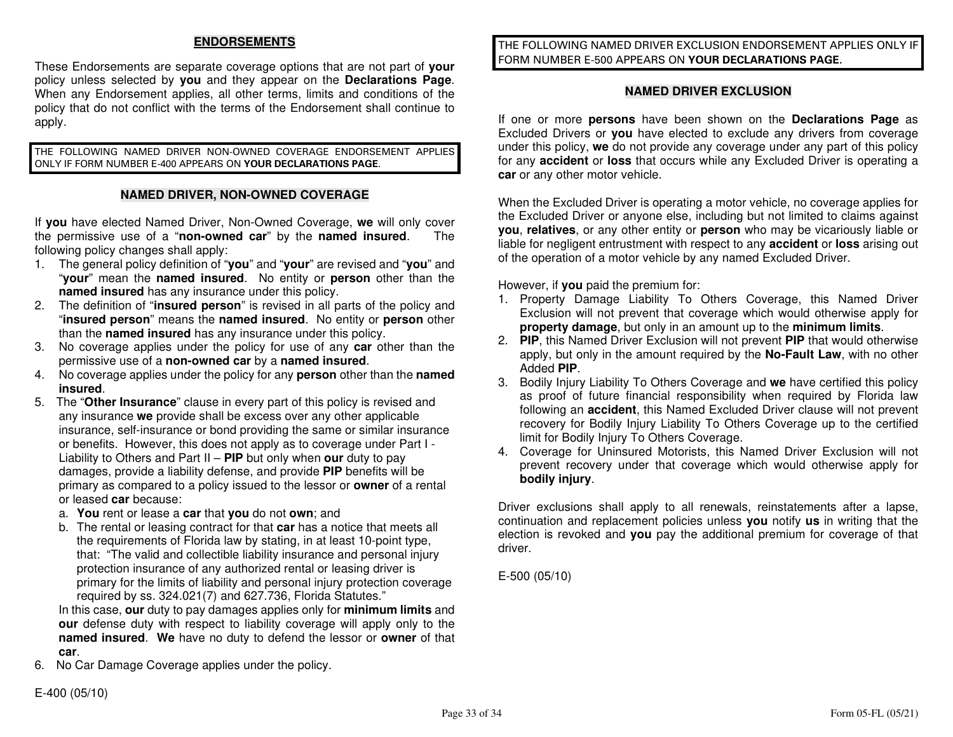# **ENDORSEMENTS**

These Endorsements are separate coverage options that are not part of **your** policy unless selected by **you** and they appear on the **Declarations Page**. When any Endorsement applies, all other terms, limits and conditions of the policy that do not conflict with the terms of the Endorsement shall continue to apply.

THE FOLLOWING NAMED DRIVER NON-OWNED COVERAGE ENDORSEMENT APPLIES ONLY IF FORM NUMBER E-400 APPEARS ON **YOUR DECLARATIONS PAGE**.

#### **NAMED DRIVER, NON-OWNED COVERAGE**

If **you** have elected Named Driver, Non-Owned Coverage, **we** will only cover The the permissive use of a "**non-owned car**" by the **named insured**. following policy changes shall apply:

- 1. The general policy definition of "**you**" and "**your**" are revised and "**you**" and "**your**" mean the **named insured**. No entity or **person** other than the **named insured** has any insurance under this policy.
- 2. The definition of "**insured person**" is revised in all parts of the policy and "**insured person**" means the **named insured**. No entity or **person** other than the **named insured** has any insurance under this policy.
- 3. No coverage applies under the policy for use of any **car** other than the permissive use of a **non-owned car** by a **named insured**.
- 4. No coverage applies under the policy for any **person** other than the **named insured**.
- 5. The "**Other Insurance**" clause in every part of this policy is revised and any insurance **we** provide shall be excess over any other applicable insurance, self-insurance or bond providing the same or similar insurance or benefits. However, this does not apply as to coverage under Part I - Liability to Others and Part II – **PIP** but only when **our** duty to pay damages, provide a liability defense, and provide **PIP** benefits will be primary as compared to a policy issued to the lessor or **owner** of a rental or leased **car** because:
- a. **You** rent or lease a **car** that **you** do not **own**; and
- b. The rental or leasing contract for that **car** has a notice that meets all the requirements of Florida law by stating, in at least 10-point type, that: "The valid and collectible liability insurance and personal injuryprotection insurance of any authorized rental or leasing driver is primary for the limits of liability and personal injury protection coverage required by ss. 324.021(7) and 627.736, Florida Statutes."

 In this case, **our** duty to pay damages applies only for **minimum limits** and **our** defense duty with respect to liability coverage will apply only to the **named insured**. **We** have no duty to defend the lessor or **owner** of that **car**.

6. No Car Damage Coverage applies under the policy.

E-400 (05/10)

THE FOLLOWING NAMED DRIVER EXCLUSION ENDORSEMENT APPLIES ONLY IF FORM NUMBER E-500 APPEARS ON **YOUR DECLARATIONS PAGE**.

#### **NAMED DRIVER EXCLUSION**

If one or more **persons** have been shown on the **Declarations Page** as Excluded Drivers or **you** have elected to exclude any drivers from coverage under this policy, **we** do not provide any coverage under any part of this policy for any **accident** or **loss** that occurs while any Excluded Driver is operating a **car** or any other motor vehicle.

When the Excluded Driver is operating a motor vehicle, no coverage applies for the Excluded Driver or anyone else, including but not limited to claims against **you**, **relatives**, or any other entity or **person** who may be vicariously liable or liable for negligent entrustment with respect to any **accident** or **loss** arising out of the operation of a motor vehicle by any named Excluded Driver.

However, if **you** paid the premium for:

- 1. Property Damage Liability To Others Coverage, this Named Driver Exclusion will not prevent that coverage which would otherwise apply for **property damage**, but only in an amount up to the **minimum limits**.
- 2. **PIP**, this Named Driver Exclusion will not prevent **PIP** that would otherwise apply, but only in the amount required by the **No-Fault Law**, with no other Added **PIP**.
- 3. Bodily Injury Liability To Others Coverage and **we** have certified this policy as proof of future financial responsibility when required by Florida law following an **accident**, this Named Excluded Driver clause will not prevent recovery for Bodily Injury Liability To Others Coverage up to the certified limit for Bodily Injury To Others Coverage.
- 4. Coverage for Uninsured Motorists, this Named Driver Exclusion will not prevent recovery under that coverage which would otherwise apply for **bodily injury**.

Driver exclusions shall apply to all renewals, reinstatements after a lapse, continuation and replacement policies unless **you** notify **us** in writing that the election is revoked and **you** pay the additional premium for coverage of that driver.

E-500 (05/10)